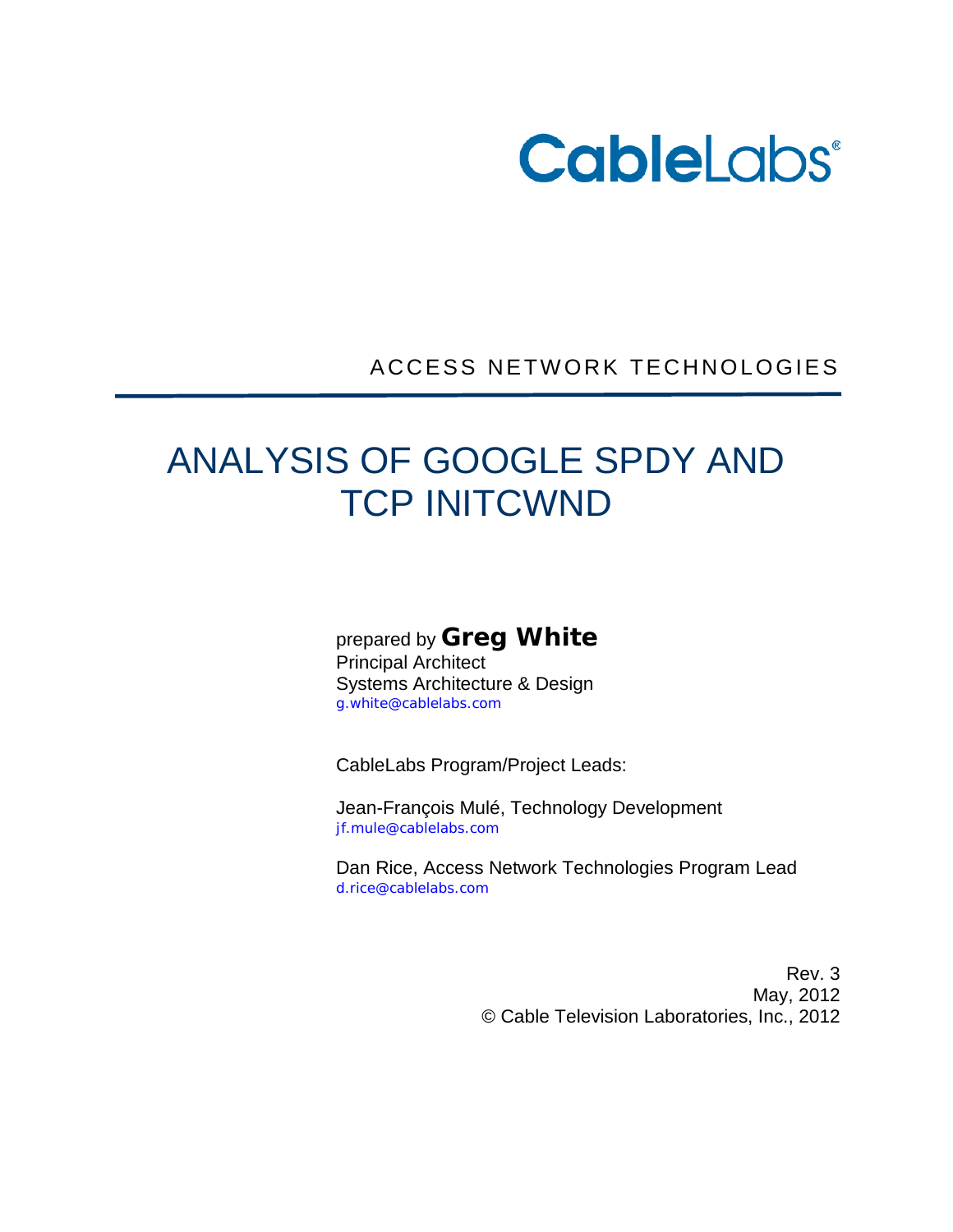

ACCESS NETWORK TECHNOLOGIES

# ANALYSIS OF GOOGLE SPDY AND TCP INITCWND

prepared by **Greg White**

Principal Architect Systems Architecture & Design g.white@cablelabs.com

CableLabs Program/Project Leads:

Jean-François Mulé, Technology Development jf.mule@cablelabs.com

Dan Rice, Access Network Technologies Program Lead d.rice@cablelabs.com

> Rev. 3 May, 2012 © Cable Television Laboratories, Inc., 2012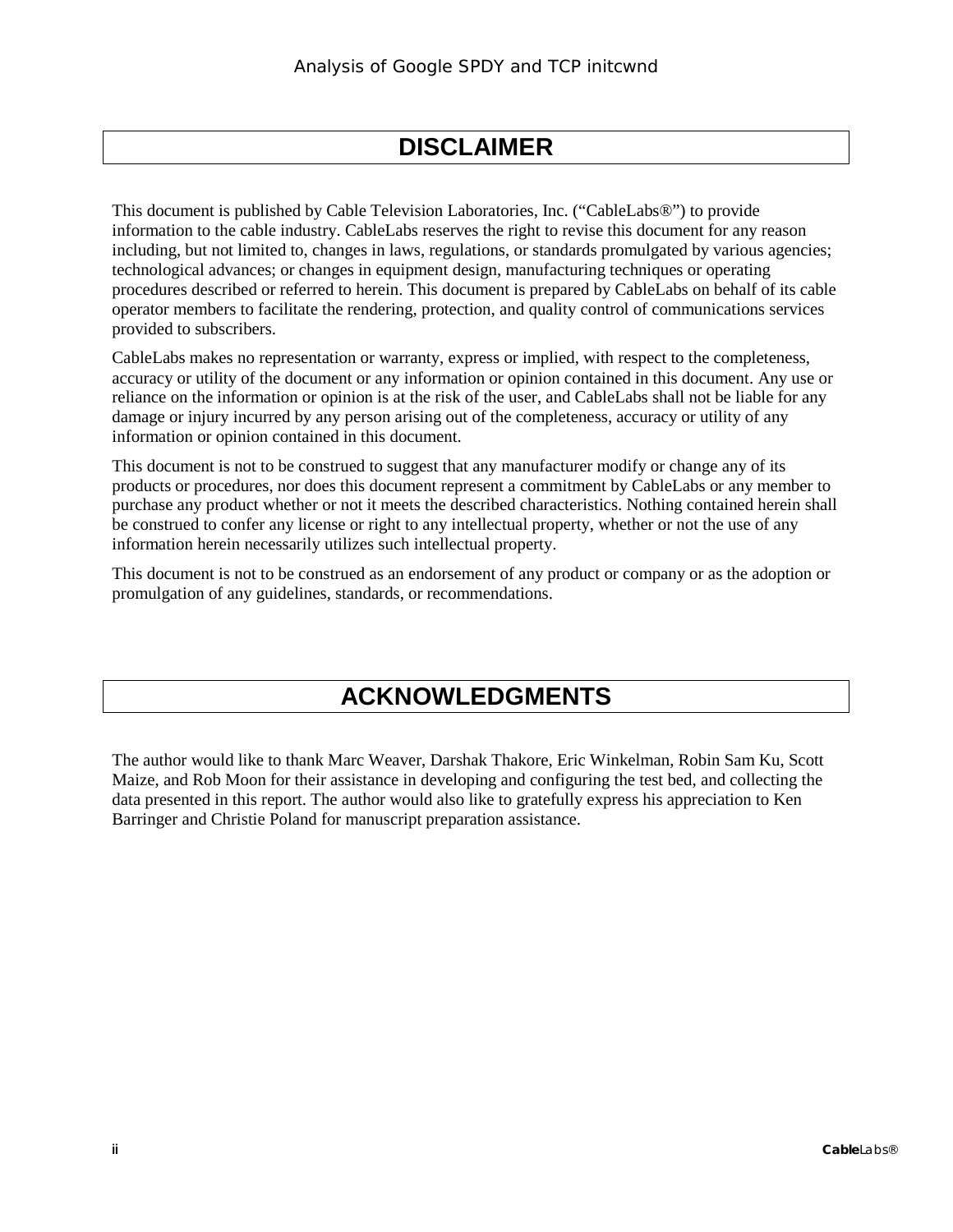# **DISCLAIMER**

This document is published by Cable Television Laboratories, Inc. ("CableLabs®") to provide information to the cable industry. CableLabs reserves the right to revise this document for any reason including, but not limited to, changes in laws, regulations, or standards promulgated by various agencies; technological advances; or changes in equipment design, manufacturing techniques or operating procedures described or referred to herein. This document is prepared by CableLabs on behalf of its cable operator members to facilitate the rendering, protection, and quality control of communications services provided to subscribers.

CableLabs makes no representation or warranty, express or implied, with respect to the completeness, accuracy or utility of the document or any information or opinion contained in this document. Any use or reliance on the information or opinion is at the risk of the user, and CableLabs shall not be liable for any damage or injury incurred by any person arising out of the completeness, accuracy or utility of any information or opinion contained in this document.

This document is not to be construed to suggest that any manufacturer modify or change any of its products or procedures, nor does this document represent a commitment by CableLabs or any member to purchase any product whether or not it meets the described characteristics. Nothing contained herein shall be construed to confer any license or right to any intellectual property, whether or not the use of any information herein necessarily utilizes such intellectual property.

This document is not to be construed as an endorsement of any product or company or as the adoption or promulgation of any guidelines, standards, or recommendations.

# **ACKNOWLEDGMENTS**

The author would like to thank Marc Weaver, Darshak Thakore, Eric Winkelman, Robin Sam Ku, Scott Maize, and Rob Moon for their assistance in developing and configuring the test bed, and collecting the data presented in this report. The author would also like to gratefully express his appreciation to Ken Barringer and Christie Poland for manuscript preparation assistance.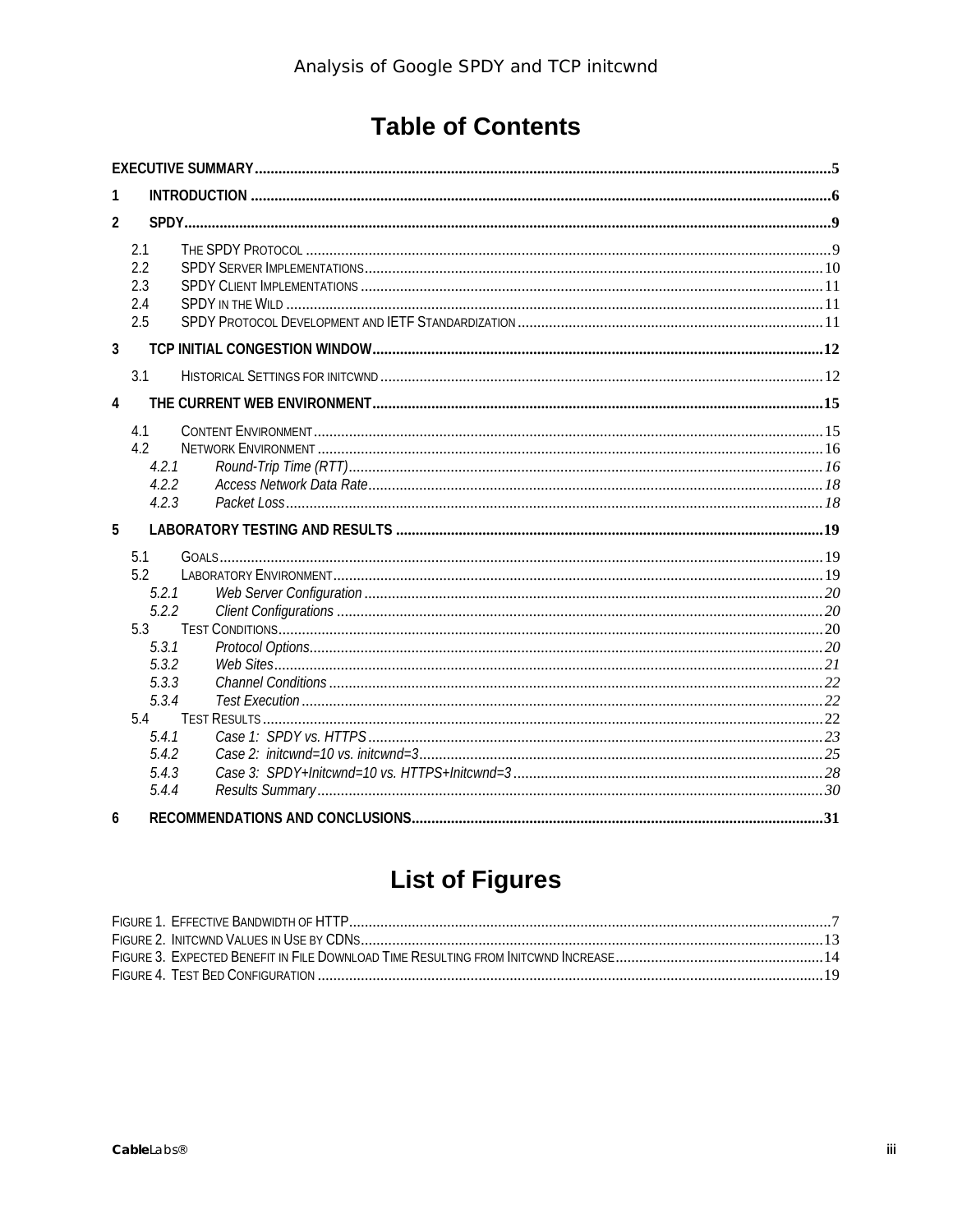# **Table of Contents**

| 1              |                                                                                                                    |  |
|----------------|--------------------------------------------------------------------------------------------------------------------|--|
| $\overline{2}$ |                                                                                                                    |  |
|                | 2.1<br>2.2<br>2.3<br>2.4<br>2.5                                                                                    |  |
| $\overline{3}$ |                                                                                                                    |  |
|                | 3.1                                                                                                                |  |
| 4              |                                                                                                                    |  |
|                | 4.1<br>4.2<br>4.2.1<br>4.2.2<br>4.2.3                                                                              |  |
| 5              |                                                                                                                    |  |
|                | 5.1<br>5.2<br>5.2.1<br>5.2.2<br>5.3<br>5.3.1<br>5.3.2<br>5.3.3<br>5.3.4<br>5.4<br>5.4.1<br>5.4.2<br>5.4.3<br>5.4.4 |  |
| 6              |                                                                                                                    |  |

# **List of Figures**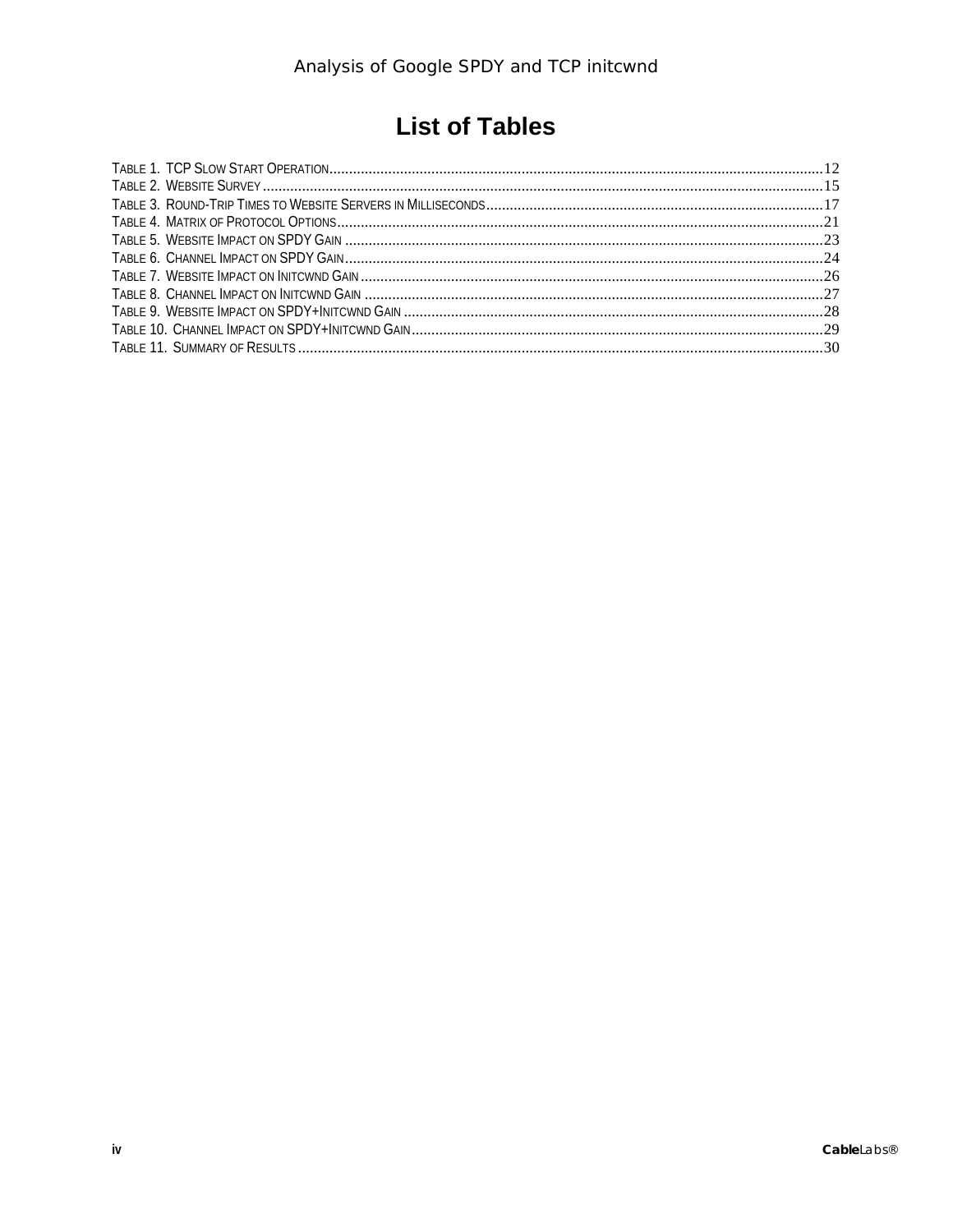# **List of Tables**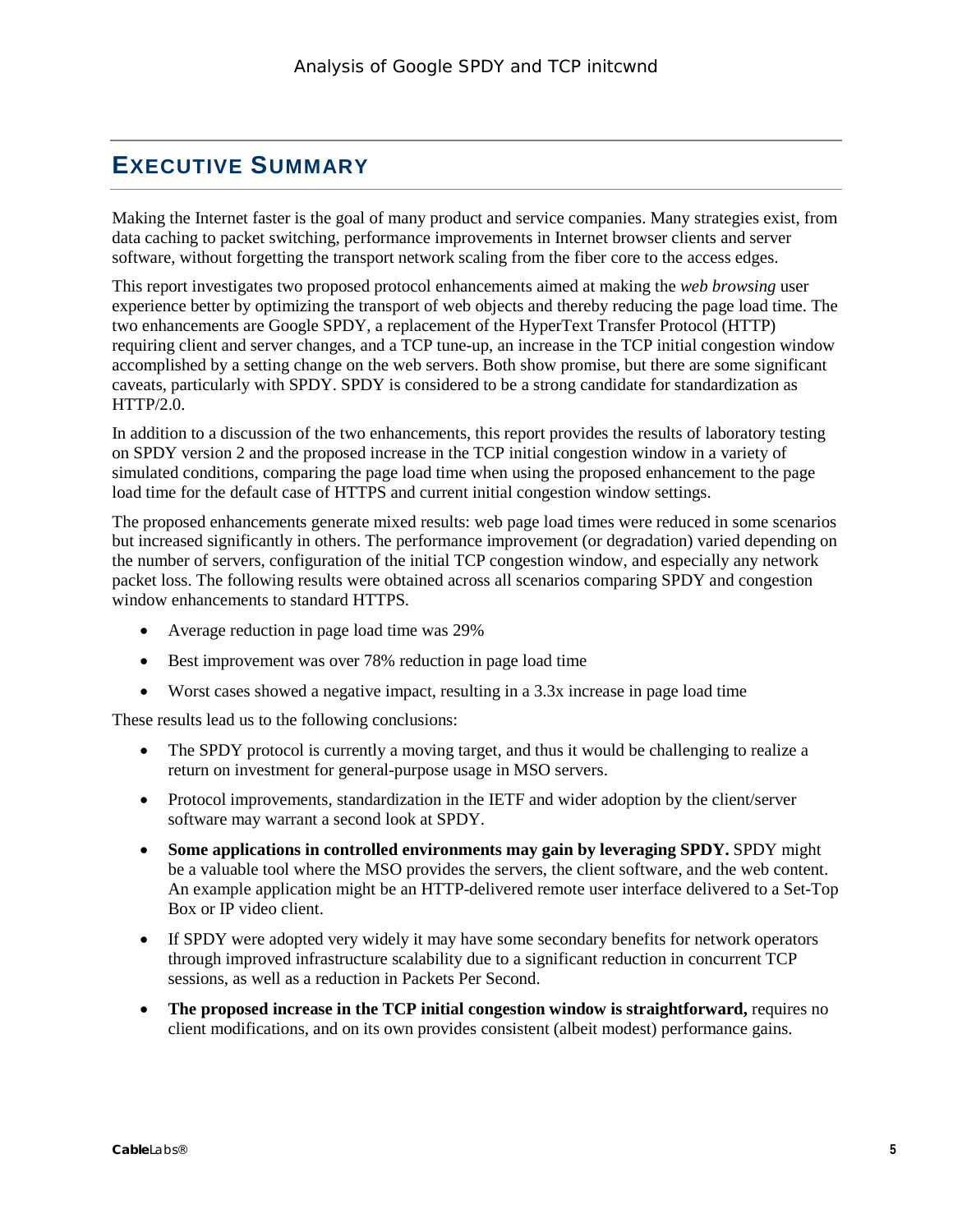# <span id="page-4-0"></span>**EXECUTIVE SUMMARY**

Making the Internet faster is the goal of many product and service companies. Many strategies exist, from data caching to packet switching, performance improvements in Internet browser clients and server software, without forgetting the transport network scaling from the fiber core to the access edges.

This report investigates two proposed protocol enhancements aimed at making the *web browsing* user experience better by optimizing the transport of web objects and thereby reducing the page load time. The two enhancements are Google SPDY, a replacement of the HyperText Transfer Protocol (HTTP) requiring client and server changes, and a TCP tune-up, an increase in the TCP initial congestion window accomplished by a setting change on the web servers. Both show promise, but there are some significant caveats, particularly with SPDY. SPDY is considered to be a strong candidate for standardization as HTTP/2.0.

In addition to a discussion of the two enhancements, this report provides the results of laboratory testing on SPDY version 2 and the proposed increase in the TCP initial congestion window in a variety of simulated conditions, comparing the page load time when using the proposed enhancement to the page load time for the default case of HTTPS and current initial congestion window settings.

The proposed enhancements generate mixed results: web page load times were reduced in some scenarios but increased significantly in others. The performance improvement (or degradation) varied depending on the number of servers, configuration of the initial TCP congestion window, and especially any network packet loss. The following results were obtained across all scenarios comparing SPDY and congestion window enhancements to standard HTTPS.

- Average reduction in page load time was 29%
- Best improvement was over 78% reduction in page load time
- Worst cases showed a negative impact, resulting in a 3.3x increase in page load time

These results lead us to the following conclusions:

- The SPDY protocol is currently a moving target, and thus it would be challenging to realize a return on investment for general-purpose usage in MSO servers.
- Protocol improvements, standardization in the IETF and wider adoption by the client/server software may warrant a second look at SPDY.
- **Some applications in controlled environments may gain by leveraging SPDY.** SPDY might be a valuable tool where the MSO provides the servers, the client software, and the web content. An example application might be an HTTP-delivered remote user interface delivered to a Set-Top Box or IP video client.
- If SPDY were adopted very widely it may have some secondary benefits for network operators through improved infrastructure scalability due to a significant reduction in concurrent TCP sessions, as well as a reduction in Packets Per Second.
- **The proposed increase in the TCP initial congestion window is straightforward,** requires no client modifications, and on its own provides consistent (albeit modest) performance gains.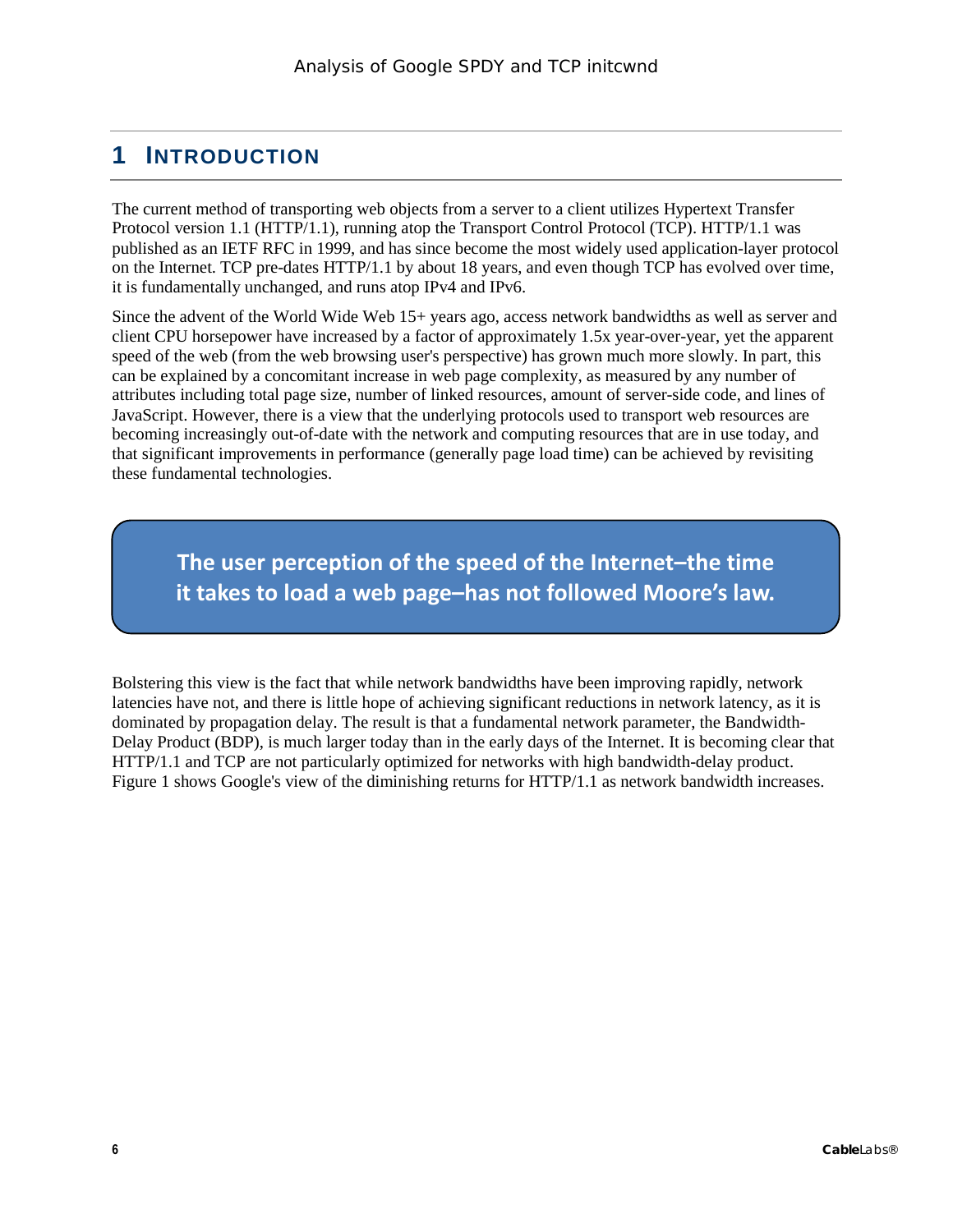# <span id="page-5-0"></span>**1 INTRODUCTION**

The current method of transporting web objects from a server to a client utilizes Hypertext Transfer Protocol version 1.1 (HTTP/1.1), running atop the Transport Control Protocol (TCP). HTTP/1.1 was published as an IETF RFC in 1999, and has since become the most widely used application-layer protocol on the Internet. TCP pre-dates HTTP/1.1 by about 18 years, and even though TCP has evolved over time, it is fundamentally unchanged, and runs atop IPv4 and IPv6.

Since the advent of the World Wide Web 15+ years ago, access network bandwidths as well as server and client CPU horsepower have increased by a factor of approximately 1.5x year-over-year, yet the apparent speed of the web (from the web browsing user's perspective) has grown much more slowly. In part, this can be explained by a concomitant increase in web page complexity, as measured by any number of attributes including total page size, number of linked resources, amount of server-side code, and lines of JavaScript. However, there is a view that the underlying protocols used to transport web resources are becoming increasingly out-of-date with the network and computing resources that are in use today, and that significant improvements in performance (generally page load time) can be achieved by revisiting these fundamental technologies.

**The user perception of the speed of the Internet–the time it takes to load a web page–has not followed Moore's law.**

Bolstering this view is the fact that while network bandwidths have been improving rapidly, network latencies have not, and there is little hope of achieving significant reductions in network latency, as it is dominated by propagation delay. The result is that a fundamental network parameter, the Bandwidth-Delay Product (BDP), is much larger today than in the early days of the Internet. It is becoming clear that HTTP/1.1 and TCP are not particularly optimized for networks with high bandwidth-delay product. [Figure 1](#page-6-0) shows Google's view of the diminishing returns for HTTP/1.1 as network bandwidth increases.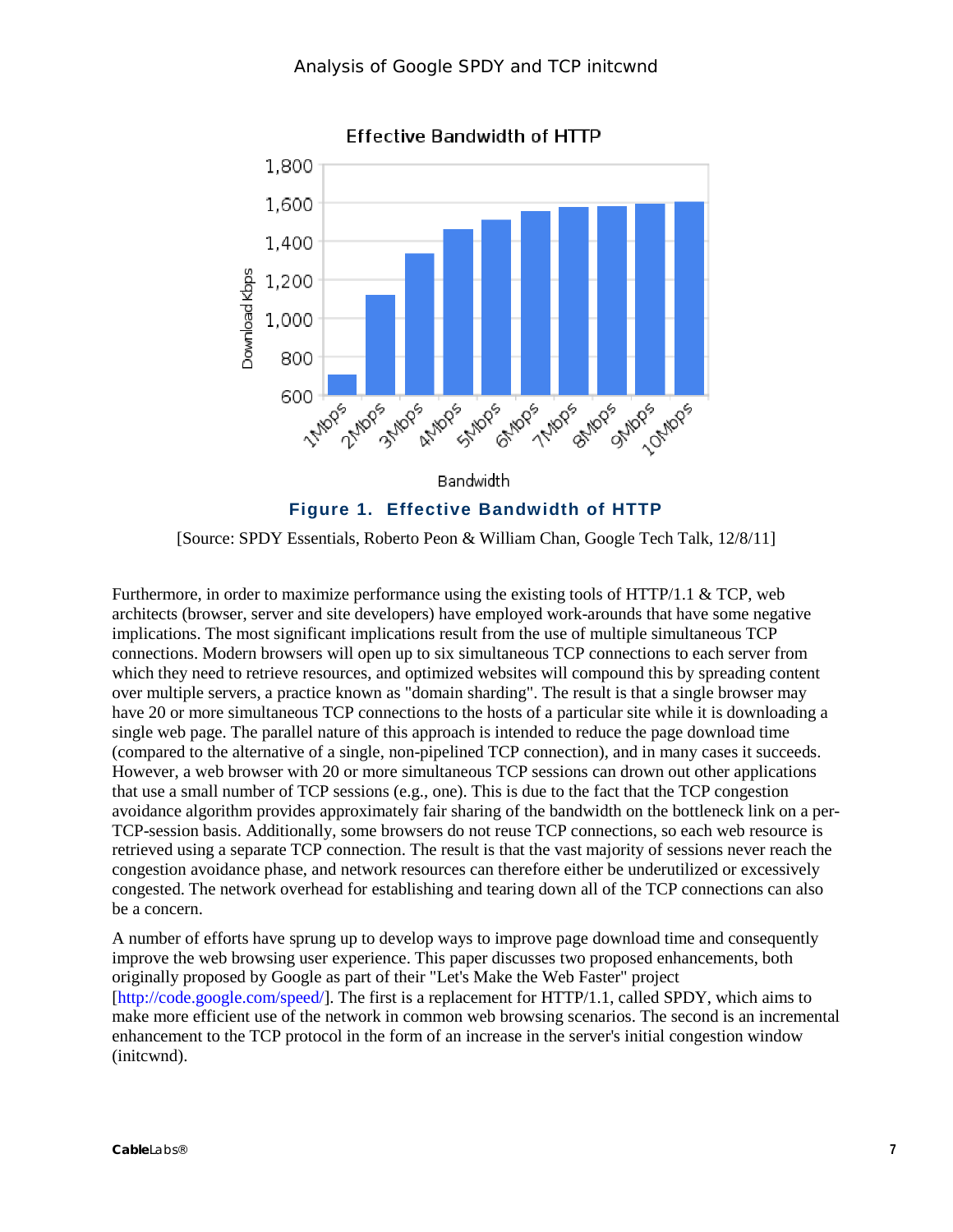

**Effective Bandwidth of HTTP** 

<span id="page-6-0"></span>[Source: SPDY Essentials, Roberto Peon & William Chan, Google Tech Talk, 12/8/11]

Furthermore, in order to maximize performance using the existing tools of HTTP/1.1 & TCP, web architects (browser, server and site developers) have employed work-arounds that have some negative implications. The most significant implications result from the use of multiple simultaneous TCP connections. Modern browsers will open up to six simultaneous TCP connections to each server from which they need to retrieve resources, and optimized websites will compound this by spreading content over multiple servers, a practice known as "domain sharding". The result is that a single browser may have 20 or more simultaneous TCP connections to the hosts of a particular site while it is downloading a single web page. The parallel nature of this approach is intended to reduce the page download time (compared to the alternative of a single, non-pipelined TCP connection), and in many cases it succeeds. However, a web browser with 20 or more simultaneous TCP sessions can drown out other applications that use a small number of TCP sessions (e.g., one). This is due to the fact that the TCP congestion avoidance algorithm provides approximately fair sharing of the bandwidth on the bottleneck link on a per-TCP-session basis. Additionally, some browsers do not reuse TCP connections, so each web resource is retrieved using a separate TCP connection. The result is that the vast majority of sessions never reach the congestion avoidance phase, and network resources can therefore either be underutilized or excessively congested. The network overhead for establishing and tearing down all of the TCP connections can also be a concern.

A number of efforts have sprung up to develop ways to improve page download time and consequently improve the web browsing user experience. This paper discusses two proposed enhancements, both originally proposed by Google as part of their "Let's Make the Web Faster" project [\[http://code.google.com/speed/\]](http://code.google.com/speed/). The first is a replacement for HTTP/1.1, called SPDY, which aims to make more efficient use of the network in common web browsing scenarios. The second is an incremental enhancement to the TCP protocol in the form of an increase in the server's initial congestion window (initcwnd).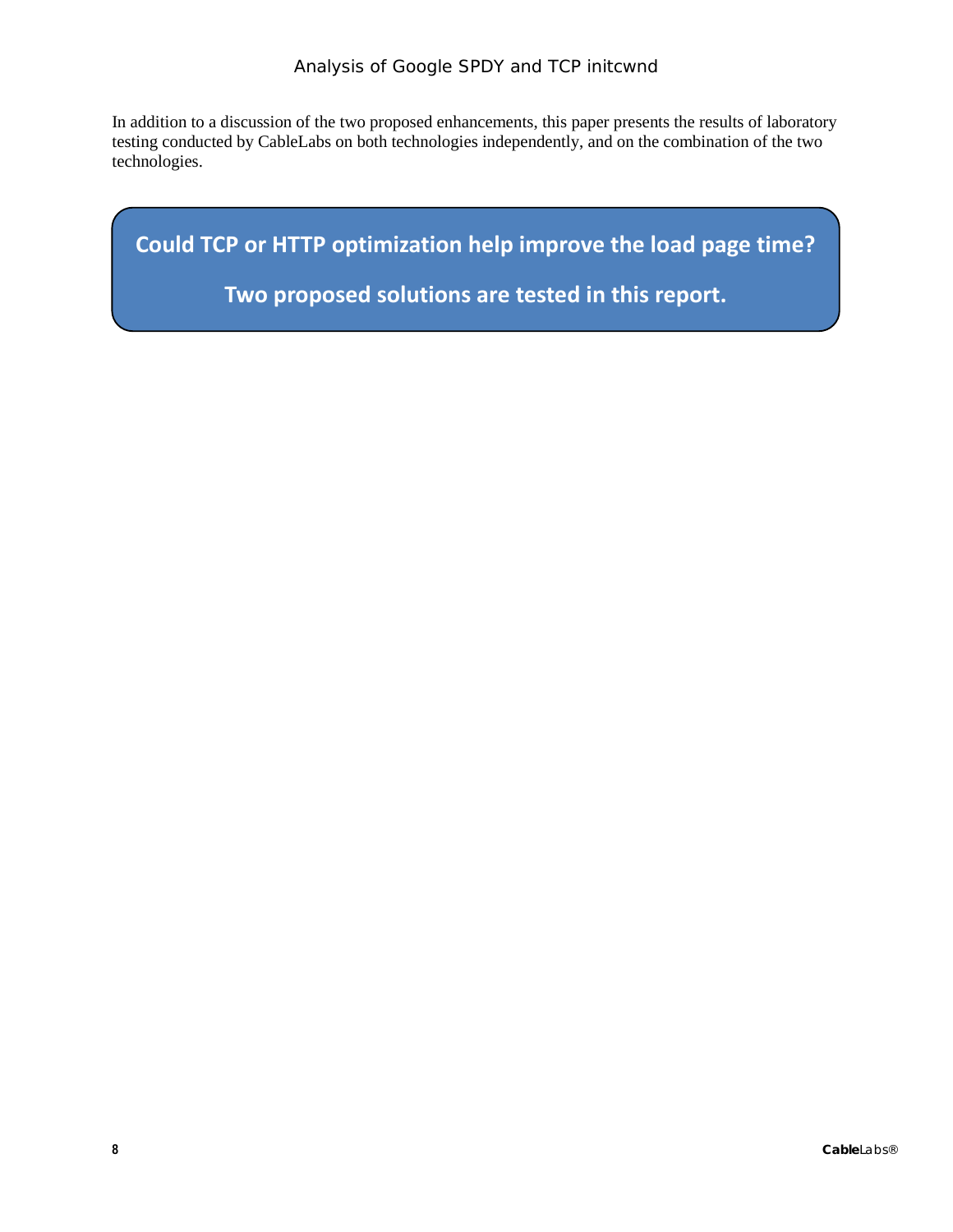In addition to a discussion of the two proposed enhancements, this paper presents the results of laboratory testing conducted by CableLabs on both technologies independently, and on the combination of the two technologies.

**Could TCP or HTTP optimization help improve the load page time?**

**Two proposed solutions are tested in this report.**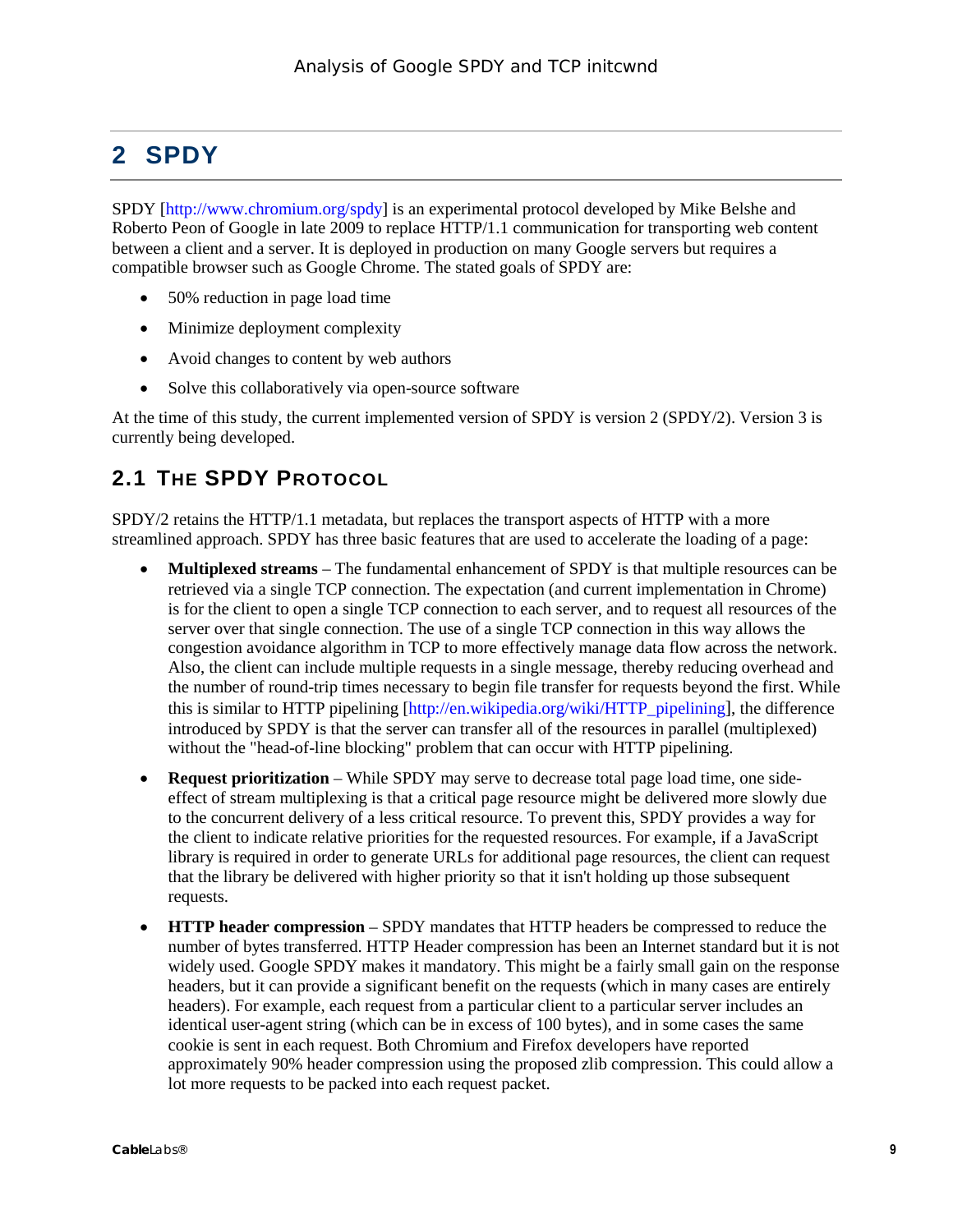# <span id="page-8-0"></span>**2 SPDY**

SPDY [\[http://www.chromium.org/spdy\]](http://www.chromium.org/spdy) is an experimental protocol developed by Mike Belshe and Roberto Peon of Google in late 2009 to replace HTTP/1.1 communication for transporting web content between a client and a server. It is deployed in production on many Google servers but requires a compatible browser such as Google Chrome. The stated goals of SPDY are:

- 50% reduction in page load time
- Minimize deployment complexity
- Avoid changes to content by web authors
- Solve this collaboratively via open-source software

At the time of this study, the current implemented version of SPDY is version 2 (SPDY/2). Version 3 is currently being developed.

# <span id="page-8-1"></span>**2.1 THE SPDY PROTOCOL**

SPDY/2 retains the HTTP/1.1 metadata, but replaces the transport aspects of HTTP with a more streamlined approach. SPDY has three basic features that are used to accelerate the loading of a page:

- **Multiplexed streams** The fundamental enhancement of SPDY is that multiple resources can be retrieved via a single TCP connection. The expectation (and current implementation in Chrome) is for the client to open a single TCP connection to each server, and to request all resources of the server over that single connection. The use of a single TCP connection in this way allows the congestion avoidance algorithm in TCP to more effectively manage data flow across the network. Also, the client can include multiple requests in a single message, thereby reducing overhead and the number of round-trip times necessary to begin file transfer for requests beyond the first. While this is similar to HTTP pipelining [\[http://en.wikipedia.org/wiki/HTTP\\_pipelining\]](http://en.wikipedia.org/wiki/HTTP_pipelining), the difference introduced by SPDY is that the server can transfer all of the resources in parallel (multiplexed) without the "head-of-line blocking" problem that can occur with HTTP pipelining.
- **Request prioritization** While SPDY may serve to decrease total page load time, one sideeffect of stream multiplexing is that a critical page resource might be delivered more slowly due to the concurrent delivery of a less critical resource. To prevent this, SPDY provides a way for the client to indicate relative priorities for the requested resources. For example, if a JavaScript library is required in order to generate URLs for additional page resources, the client can request that the library be delivered with higher priority so that it isn't holding up those subsequent requests.
- **HTTP header compression** SPDY mandates that HTTP headers be compressed to reduce the number of bytes transferred. HTTP Header compression has been an Internet standard but it is not widely used. Google SPDY makes it mandatory. This might be a fairly small gain on the response headers, but it can provide a significant benefit on the requests (which in many cases are entirely headers). For example, each request from a particular client to a particular server includes an identical user-agent string (which can be in excess of 100 bytes), and in some cases the same cookie is sent in each request. Both Chromium and Firefox developers have reported approximately 90% header compression using the proposed zlib compression. This could allow a lot more requests to be packed into each request packet.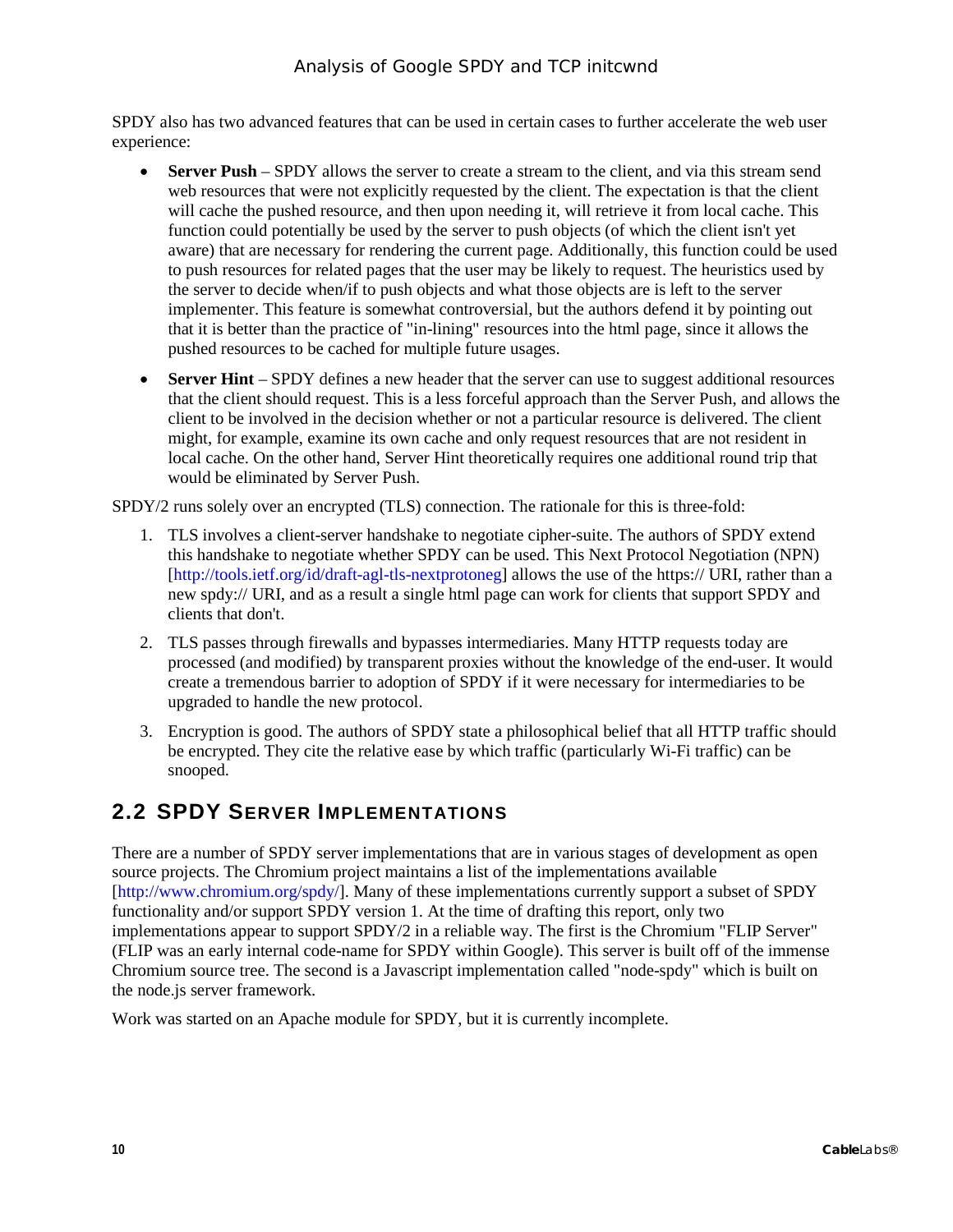SPDY also has two advanced features that can be used in certain cases to further accelerate the web user experience:

- **Server Push** SPDY allows the server to create a stream to the client, and via this stream send web resources that were not explicitly requested by the client. The expectation is that the client will cache the pushed resource, and then upon needing it, will retrieve it from local cache. This function could potentially be used by the server to push objects (of which the client isn't yet aware) that are necessary for rendering the current page. Additionally, this function could be used to push resources for related pages that the user may be likely to request. The heuristics used by the server to decide when/if to push objects and what those objects are is left to the server implementer. This feature is somewhat controversial, but the authors defend it by pointing out that it is better than the practice of "in-lining" resources into the html page, since it allows the pushed resources to be cached for multiple future usages.
- **Server Hint** SPDY defines a new header that the server can use to suggest additional resources that the client should request. This is a less forceful approach than the Server Push, and allows the client to be involved in the decision whether or not a particular resource is delivered. The client might, for example, examine its own cache and only request resources that are not resident in local cache. On the other hand, Server Hint theoretically requires one additional round trip that would be eliminated by Server Push.

SPDY/2 runs solely over an encrypted (TLS) connection. The rationale for this is three-fold:

- 1. TLS involves a client-server handshake to negotiate cipher-suite. The authors of SPDY extend this handshake to negotiate whether SPDY can be used. This Next Protocol Negotiation (NPN) [\[http://tools.ietf.org/id/draft-agl-tls-nextprotoneg\]](http://tools.ietf.org/id/draft-agl-tls-nextprotoneg) allows the use of the https:// URI, rather than a new spdy:// URI, and as a result a single html page can work for clients that support SPDY and clients that don't.
- 2. TLS passes through firewalls and bypasses intermediaries. Many HTTP requests today are processed (and modified) by transparent proxies without the knowledge of the end-user. It would create a tremendous barrier to adoption of SPDY if it were necessary for intermediaries to be upgraded to handle the new protocol.
- 3. Encryption is good. The authors of SPDY state a philosophical belief that all HTTP traffic should be encrypted. They cite the relative ease by which traffic (particularly Wi-Fi traffic) can be snooped.

### <span id="page-9-0"></span>**2.2 SPDY SERVER IMPLEMENTATIONS**

There are a number of SPDY server implementations that are in various stages of development as open source projects. The Chromium project maintains a list of the implementations available [\[http://www.chromium.org/spdy/\]](http://www.chromium.org/spdy/). Many of these implementations currently support a subset of SPDY functionality and/or support SPDY version 1. At the time of drafting this report, only two implementations appear to support SPDY/2 in a reliable way. The first is the Chromium "FLIP Server" (FLIP was an early internal code-name for SPDY within Google). This server is built off of the immense Chromium source tree. The second is a Javascript implementation called "node-spdy" which is built on the node.js server framework.

Work was started on an Apache module for SPDY, but it is currently incomplete.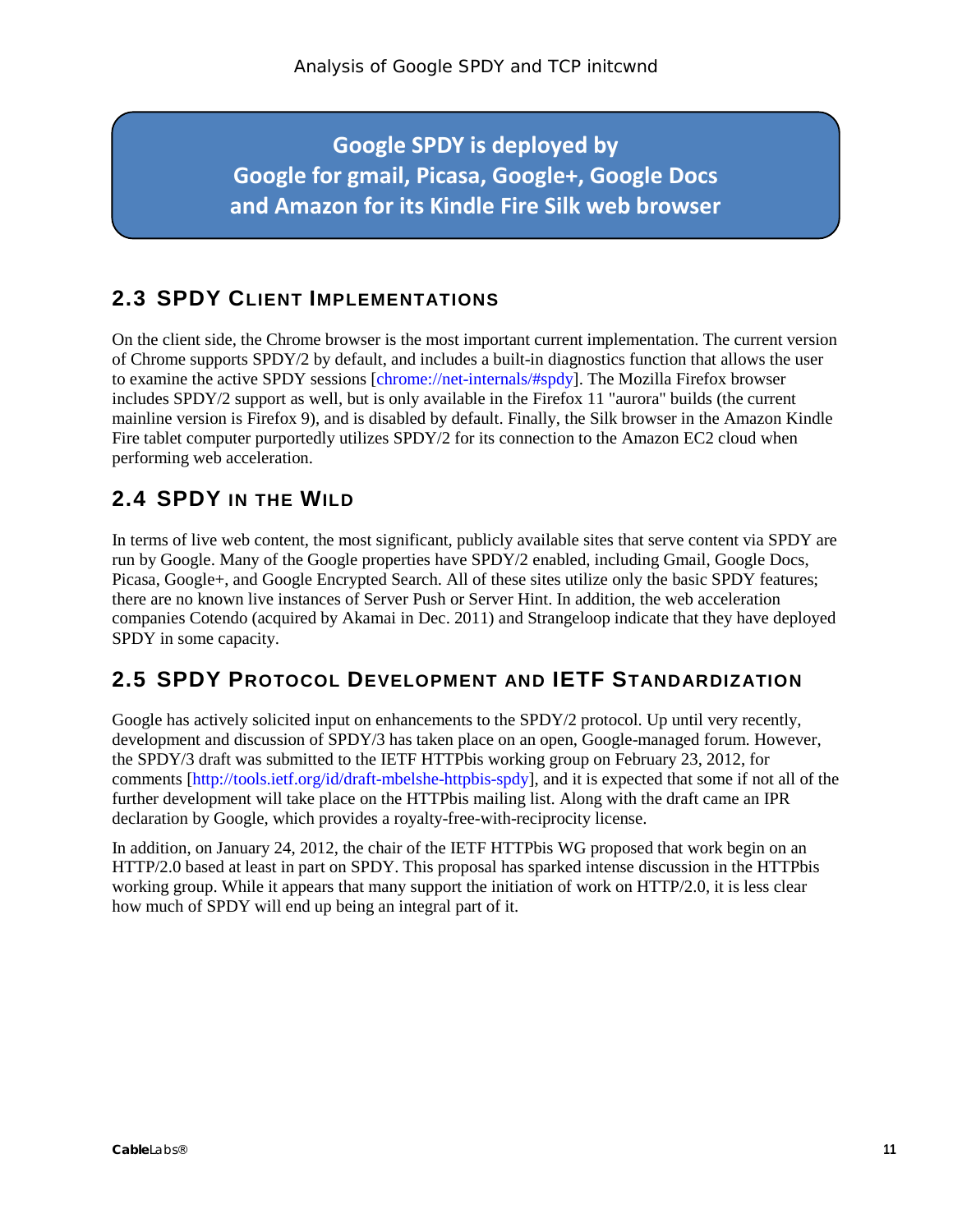**Google SPDY is deployed by Google for gmail, Picasa, Google+, Google Docs and Amazon for its Kindle Fire Silk web browser**

## <span id="page-10-0"></span>**2.3 SPDY CLIENT IMPLEMENTATIONS**

On the client side, the Chrome browser is the most important current implementation. The current version of Chrome supports SPDY/2 by default, and includes a built-in diagnostics function that allows the user to examine the active SPDY sessions [chrome://net-internals/#spdy]. The Mozilla Firefox browser includes SPDY/2 support as well, but is only available in the Firefox 11 "aurora" builds (the current mainline version is Firefox 9), and is disabled by default. Finally, the Silk browser in the Amazon Kindle Fire tablet computer purportedly utilizes SPDY/2 for its connection to the Amazon EC2 cloud when performing web acceleration.

### <span id="page-10-1"></span>**2.4 SPDY IN THE WILD**

In terms of live web content, the most significant, publicly available sites that serve content via SPDY are run by Google. Many of the Google properties have SPDY/2 enabled, including Gmail, Google Docs, Picasa, Google+, and Google Encrypted Search. All of these sites utilize only the basic SPDY features; there are no known live instances of Server Push or Server Hint. In addition, the web acceleration companies Cotendo (acquired by Akamai in Dec. 2011) and Strangeloop indicate that they have deployed SPDY in some capacity.

### <span id="page-10-2"></span>**2.5 SPDY PROTOCOL DEVELOPMENT AND IETF STANDARDIZATION**

Google has actively solicited input on enhancements to the SPDY/2 protocol. Up until very recently, development and discussion of SPDY/3 has taken place on an open, Google-managed forum. However, the SPDY/3 draft was submitted to the IETF HTTPbis working group on February 23, 2012, for comments [\[http://tools.ietf.org/id/draft-mbelshe-httpbis-spdy\]](http://tools.ietf.org/id/draft-mbelshe-httpbis-spdy), and it is expected that some if not all of the further development will take place on the HTTPbis mailing list. Along with the draft came an IPR declaration by Google, which provides a royalty-free-with-reciprocity license.

In addition, on January 24, 2012, the chair of the IETF HTTPbis WG proposed that work begin on an HTTP/2.0 based at least in part on SPDY. This proposal has sparked intense discussion in the HTTPbis working group. While it appears that many support the initiation of work on HTTP/2.0, it is less clear how much of SPDY will end up being an integral part of it.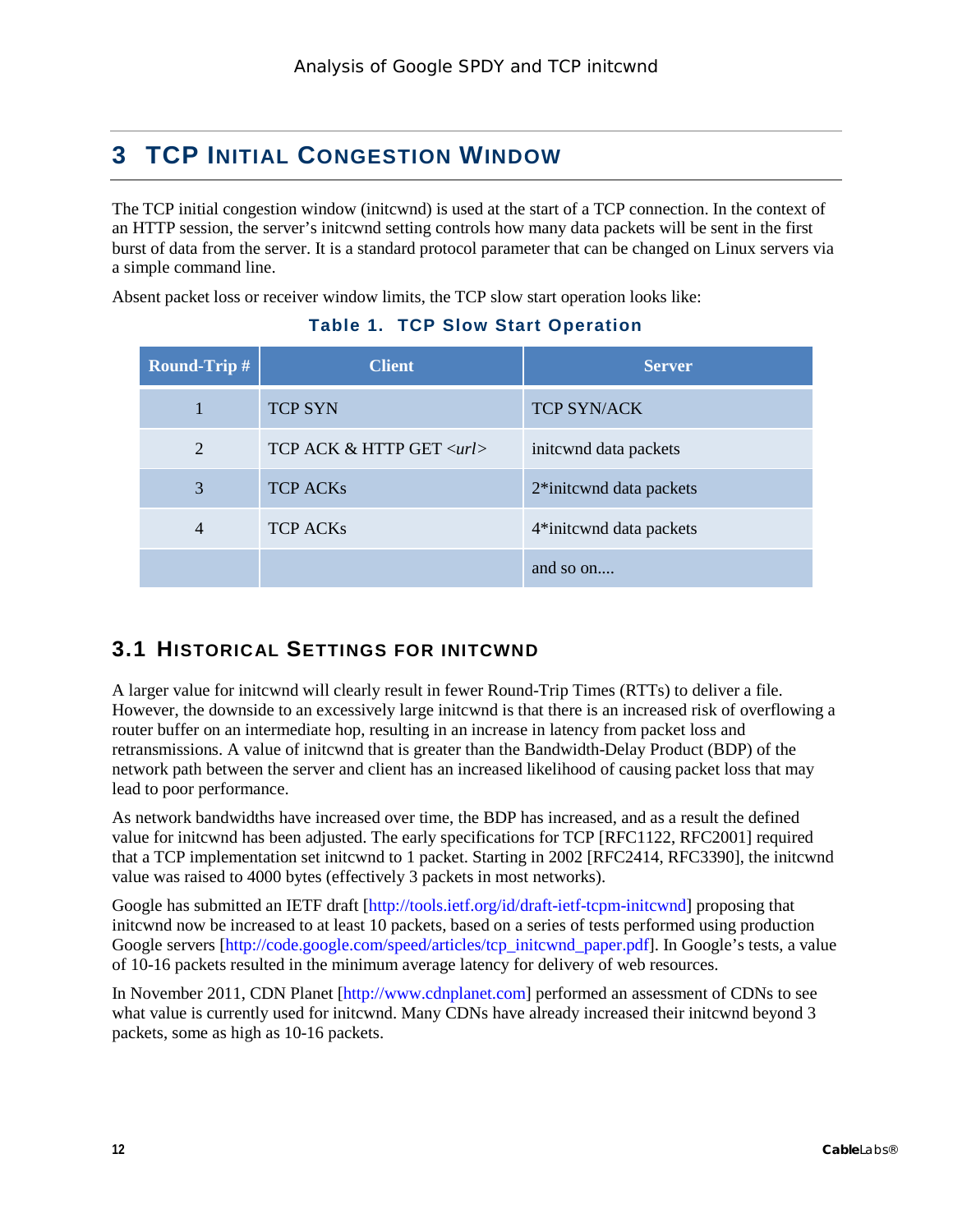# <span id="page-11-0"></span>**3 TCP INITIAL CONGESTION WINDOW**

The TCP initial congestion window (initcwnd) is used at the start of a TCP connection. In the context of an HTTP session, the server's initcwnd setting controls how many data packets will be sent in the first burst of data from the server. It is a standard protocol parameter that can be changed on Linux servers via a simple command line.

<span id="page-11-2"></span>Absent packet loss or receiver window limits, the TCP slow start operation looks like:

| <b>Round-Trip #</b> | <b>Client</b>                  | <b>Server</b>                        |
|---------------------|--------------------------------|--------------------------------------|
|                     | <b>TCP SYN</b>                 | <b>TCP SYN/ACK</b>                   |
| 2                   | TCP ACK & HTTP GET <url></url> | initewnd data packets                |
| 3                   | <b>TCP ACKs</b>                | 2*initewnd data packets              |
| 4                   | <b>TCP ACKs</b>                | 4 <sup>*</sup> initewnd data packets |
|                     |                                | and so $\alpha$                      |

#### **Table 1. TCP Slow Start Operation**

## <span id="page-11-1"></span>**3.1 HISTORICAL SETTINGS FOR INITCWND**

A larger value for initcwnd will clearly result in fewer Round-Trip Times (RTTs) to deliver a file. However, the downside to an excessively large initcwnd is that there is an increased risk of overflowing a router buffer on an intermediate hop, resulting in an increase in latency from packet loss and retransmissions. A value of initcwnd that is greater than the Bandwidth-Delay Product (BDP) of the network path between the server and client has an increased likelihood of causing packet loss that may lead to poor performance.

As network bandwidths have increased over time, the BDP has increased, and as a result the defined value for initcwnd has been adjusted. The early specifications for TCP [RFC1122, RFC2001] required that a TCP implementation set initcwnd to 1 packet. Starting in 2002 [RFC2414, RFC3390], the initcwnd value was raised to 4000 bytes (effectively 3 packets in most networks).

Google has submitted an IETF draft [\[http://tools.ietf.org/id/draft-ietf-tcpm-initcwnd\]](http://tools.ietf.org/id/draft-ietf-tcpm-initcwnd) proposing that initcwnd now be increased to at least 10 packets, based on a series of tests performed using production Google servers [\[http://code.google.com/speed/articles/tcp\\_initcwnd\\_paper.pdf\]](http://code.google.com/speed/articles/tcp_initcwnd_paper.pdf). In Google's tests, a value of 10-16 packets resulted in the minimum average latency for delivery of web resources.

In November 2011, CDN Planet [\[http://www.cdnplanet.com\]](http://www.cdnplanet.com/) performed an assessment of CDNs to see what value is currently used for initcwnd. Many CDNs have already increased their initcwnd beyond 3 packets, some as high as 10-16 packets.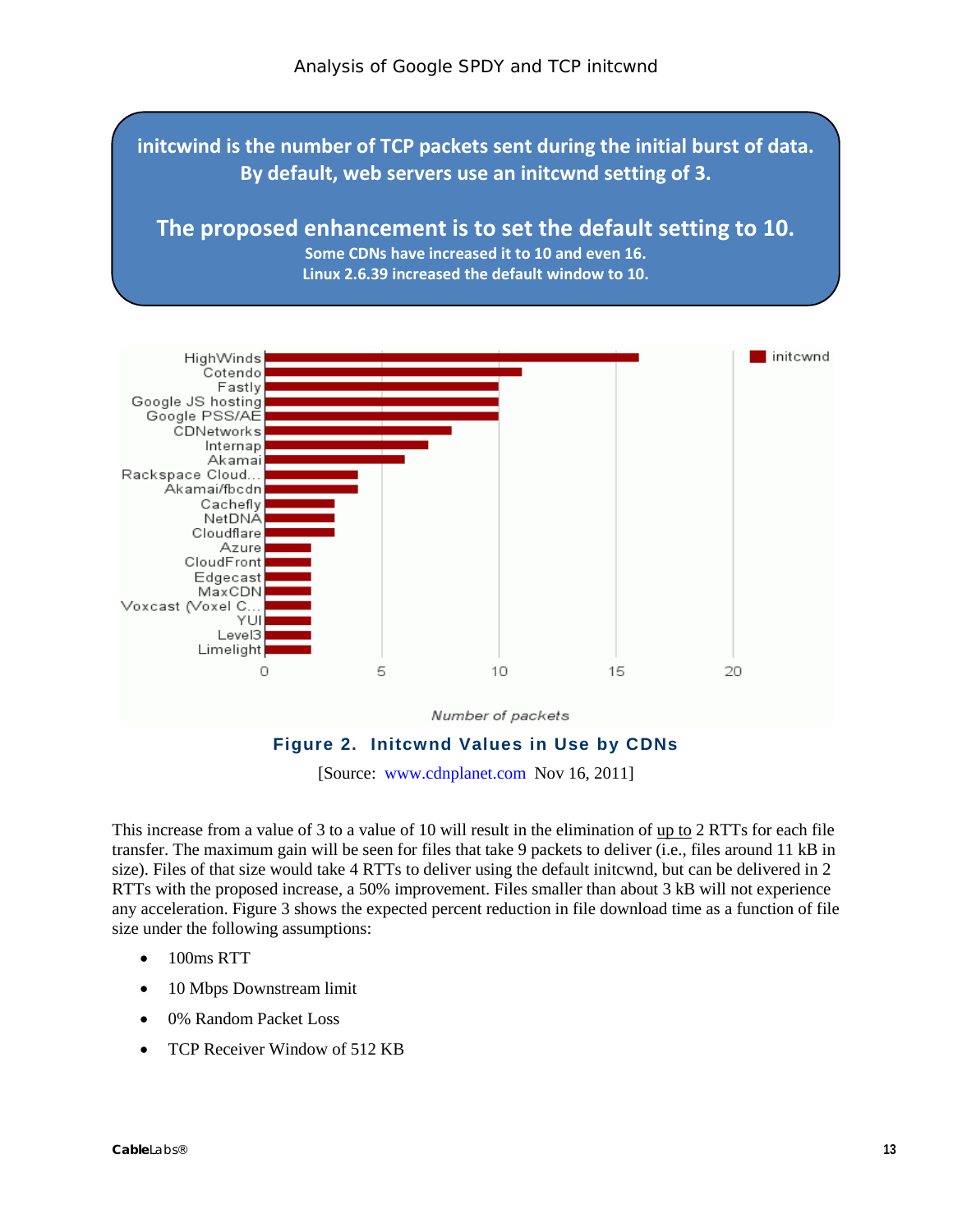**initcwind is the number of TCP packets sent during the initial burst of data. By default, web servers use an initcwnd setting of 3.**

### **The proposed enhancement is to set the default setting to 10.**

**Some CDNs have increased it to 10 and even 16. Linux 2.6.39 increased the default window to 10.**



[Source: [www.cdnplanet.com](http://www.cdnplanet.com/) Nov 16, 2011]

<span id="page-12-0"></span>This increase from a value of 3 to a value of 10 will result in the elimination of up to 2 RTTs for each file transfer. The maximum gain will be seen for files that take 9 packets to deliver (i.e., files around 11 kB in size). Files of that size would take 4 RTTs to deliver using the default initcwnd, but can be delivered in 2 RTTs with the proposed increase, a 50% improvement. Files smaller than about 3 kB will not experience any acceleration. [Figure 3](#page-13-0) shows the expected percent reduction in file download time as a function of file size under the following assumptions:

- 100ms RTT
- 10 Mbps Downstream limit
- 0% Random Packet Loss
- TCP Receiver Window of 512 KB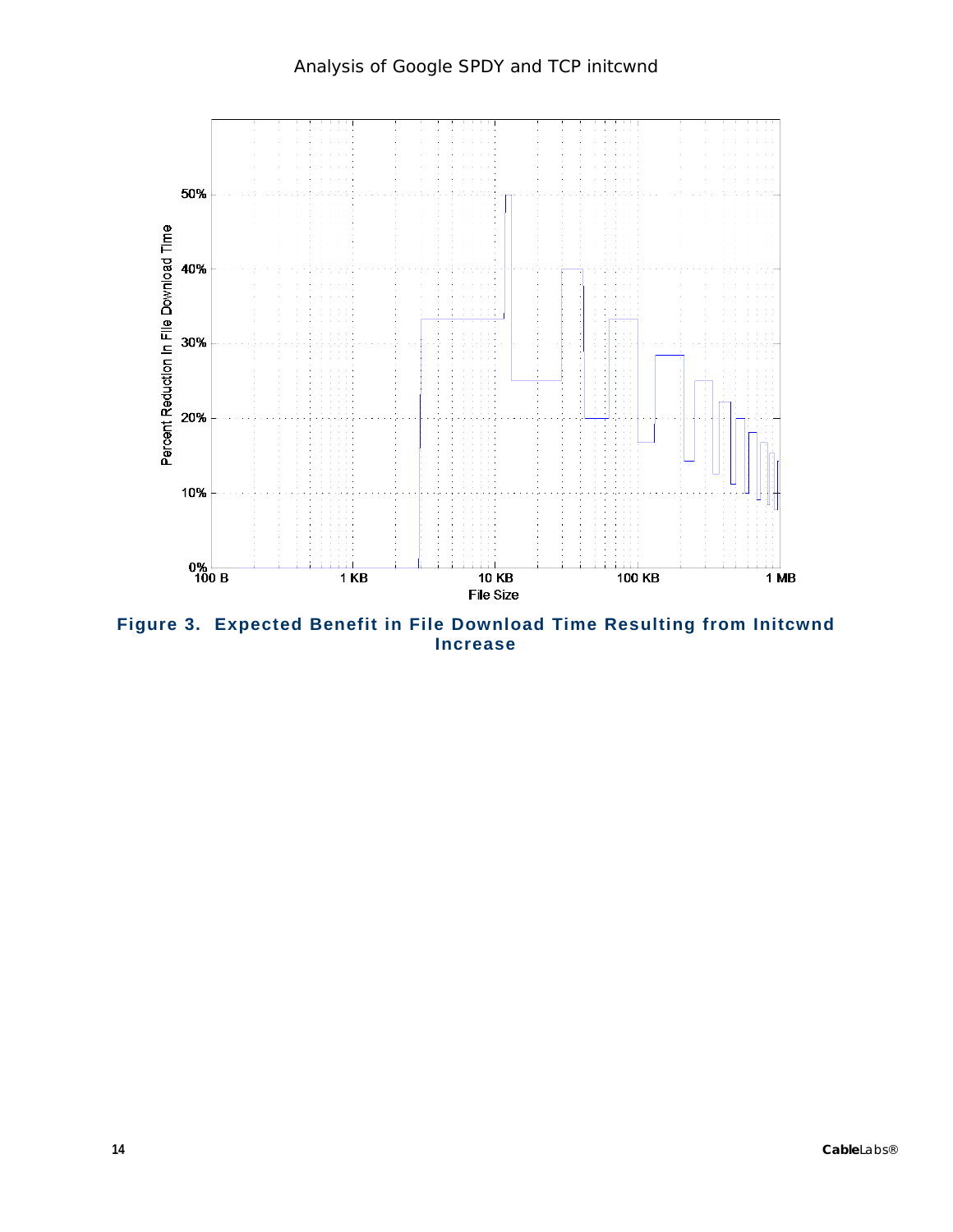

<span id="page-13-0"></span>**Figure 3. Expected Benefit in File Download Time Resulting from Initcwnd Increase**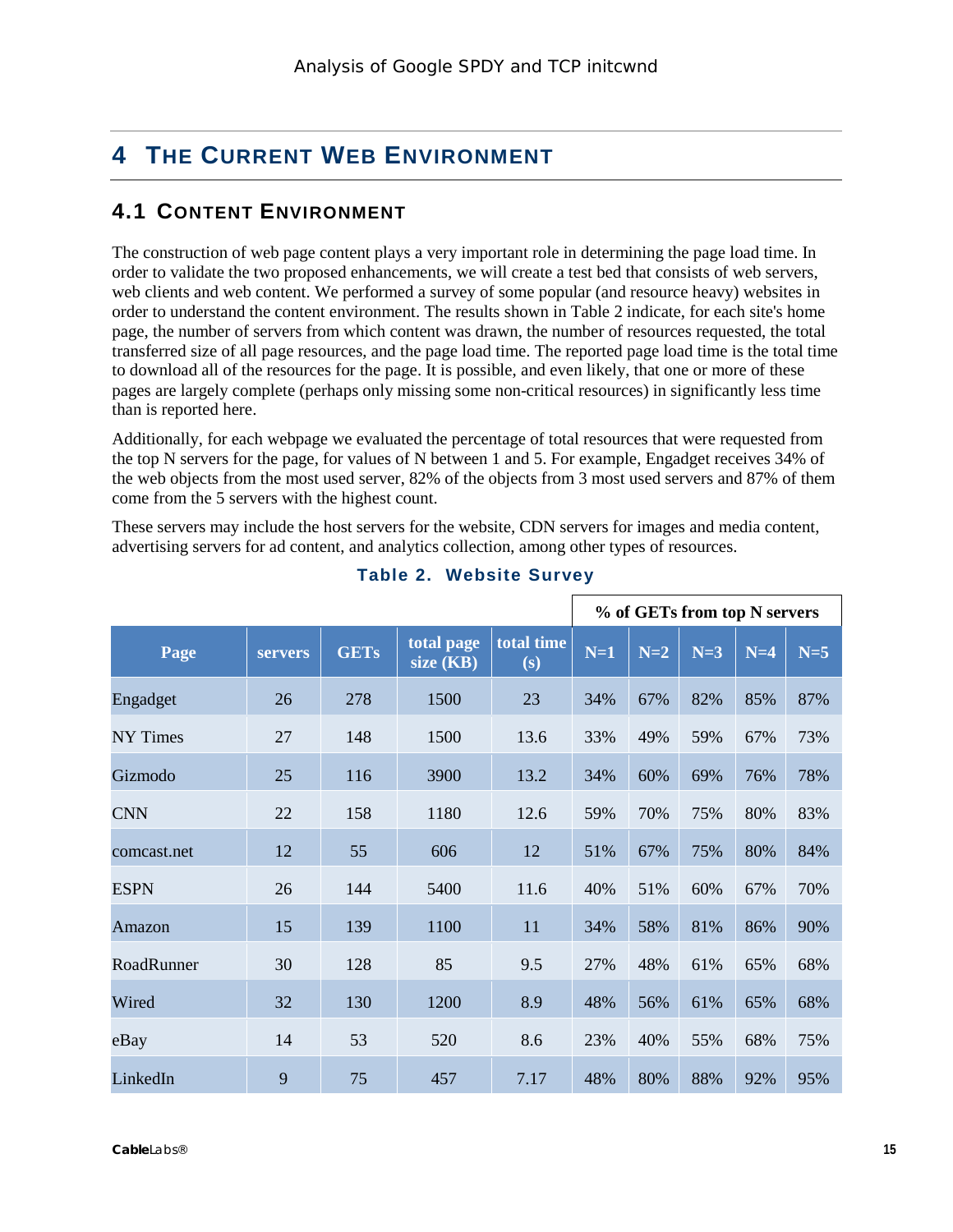# <span id="page-14-0"></span>**4 THE CURRENT WEB ENVIRONMENT**

### <span id="page-14-1"></span>**4.1 CONTENT ENVIRONMENT**

The construction of web page content plays a very important role in determining the page load time. In order to validate the two proposed enhancements, we will create a test bed that consists of web servers, web clients and web content. We performed a survey of some popular (and resource heavy) websites in order to understand the content environment. The results shown in [Table](#page-14-2) 2 indicate, for each site's home page, the number of servers from which content was drawn, the number of resources requested, the total transferred size of all page resources, and the page load time. The reported page load time is the total time to download all of the resources for the page. It is possible, and even likely, that one or more of these pages are largely complete (perhaps only missing some non-critical resources) in significantly less time than is reported here.

Additionally, for each webpage we evaluated the percentage of total resources that were requested from the top N servers for the page, for values of N between 1 and 5. For example, Engadget receives 34% of the web objects from the most used server, 82% of the objects from 3 most used servers and 87% of them come from the 5 servers with the highest count.

These servers may include the host servers for the website, CDN servers for images and media content, advertising servers for ad content, and analytics collection, among other types of resources.

<span id="page-14-2"></span>

|                 |                |             |                         |                   |       |       | % of GETs from top N servers |       |       |
|-----------------|----------------|-------------|-------------------------|-------------------|-------|-------|------------------------------|-------|-------|
| Page            | <b>servers</b> | <b>GETs</b> | total page<br>size (KB) | total time<br>(s) | $N=1$ | $N=2$ | $N=3$                        | $N=4$ | $N=5$ |
| Engadget        | 26             | 278         | 1500                    | 23                | 34%   | 67%   | 82%                          | 85%   | 87%   |
| <b>NY</b> Times | 27             | 148         | 1500                    | 13.6              | 33%   | 49%   | 59%                          | 67%   | 73%   |
| Gizmodo         | 25             | 116         | 3900                    | 13.2              | 34%   | 60%   | 69%                          | 76%   | 78%   |
| <b>CNN</b>      | 22             | 158         | 1180                    | 12.6              | 59%   | 70%   | 75%                          | 80%   | 83%   |
| comcast.net     | 12             | 55          | 606                     | 12                | 51%   | 67%   | 75%                          | 80%   | 84%   |
| <b>ESPN</b>     | 26             | 144         | 5400                    | 11.6              | 40%   | 51%   | 60%                          | 67%   | 70%   |
| Amazon          | 15             | 139         | 1100                    | 11                | 34%   | 58%   | 81%                          | 86%   | 90%   |
| RoadRunner      | 30             | 128         | 85                      | 9.5               | 27%   | 48%   | 61%                          | 65%   | 68%   |
| Wired           | 32             | 130         | 1200                    | 8.9               | 48%   | 56%   | 61%                          | 65%   | 68%   |
| eBay            | 14             | 53          | 520                     | 8.6               | 23%   | 40%   | 55%                          | 68%   | 75%   |
| LinkedIn        | 9              | 75          | 457                     | 7.17              | 48%   | 80%   | 88%                          | 92%   | 95%   |

#### **Table 2. Website Survey**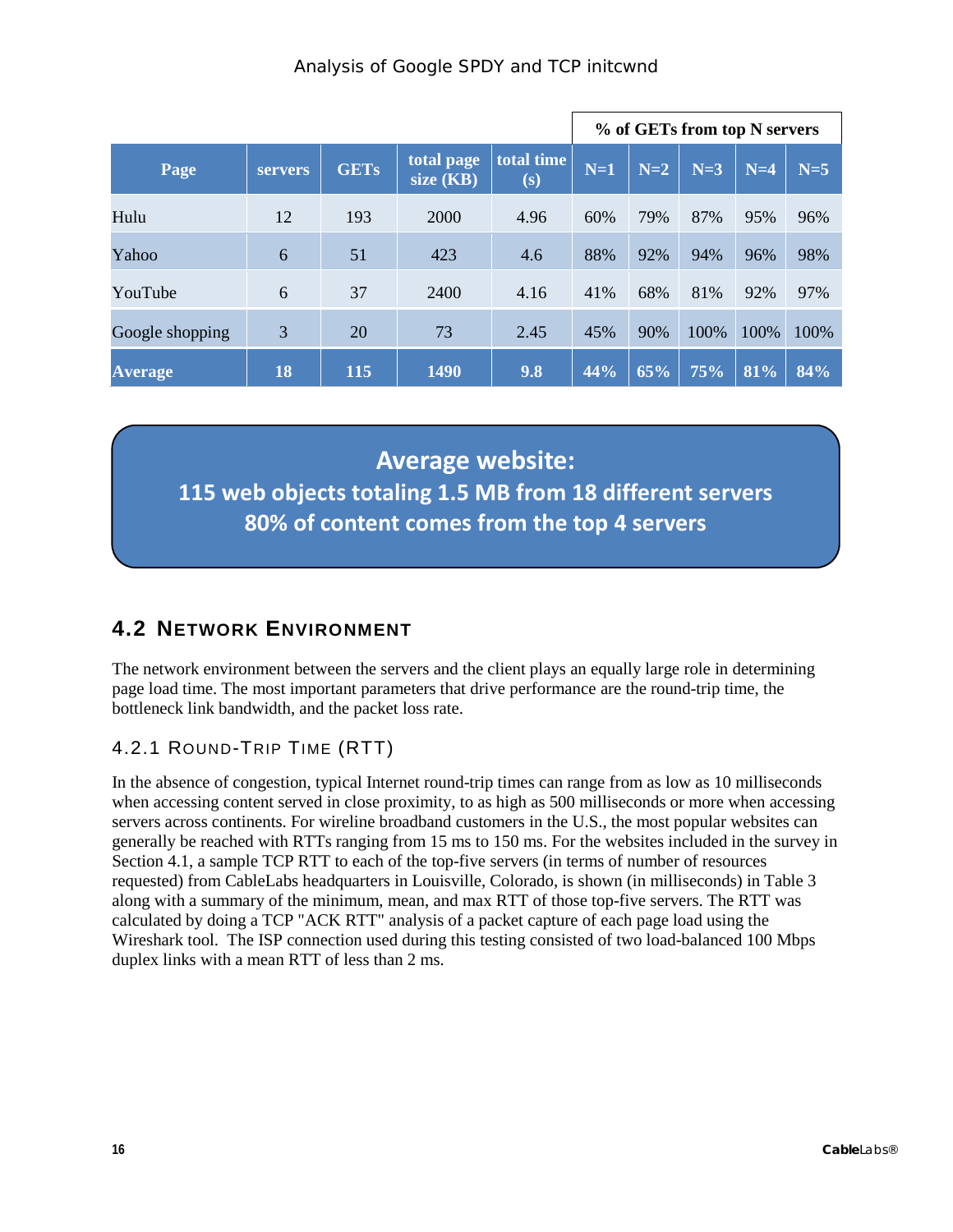|                 |                |             |                         |                              |       |       | % of GETs from top N servers |       |       |
|-----------------|----------------|-------------|-------------------------|------------------------------|-------|-------|------------------------------|-------|-------|
| Page            | <b>servers</b> | <b>GETs</b> | total page<br>size (KB) | total time<br>$(\mathbf{s})$ | $N=1$ | $N=2$ | $N=3$                        | $N=4$ | $N=5$ |
| Hulu            | 12             | 193         | 2000                    | 4.96                         | 60%   | 79%   | 87%                          | 95%   | 96%   |
| Yahoo           | 6              | 51          | 423                     | 4.6                          | 88%   | 92%   | 94%                          | 96%   | 98%   |
| YouTube         | 6              | 37          | 2400                    | 4.16                         | 41%   | 68%   | 81%                          | 92%   | 97%   |
| Google shopping | 3              | 20          | 73                      | 2.45                         | 45%   | 90%   | 100%                         | 100%  | 100%  |
| <b>Average</b>  | 18             | 115         | 1490                    | 9.8                          | 44%   | 65%   | 75%                          | 81%   | 84%   |

**Average website: 115 web objects totaling 1.5 MB from 18 different servers 80% of content comes from the top 4 servers**

# <span id="page-15-0"></span>**4.2 NETWORK ENVIRONMENT**

The network environment between the servers and the client plays an equally large role in determining page load time. The most important parameters that drive performance are the round-trip time, the bottleneck link bandwidth, and the packet loss rate.

### <span id="page-15-1"></span>4.2.1 ROUND-TRIP TIME (RTT)

In the absence of congestion, typical Internet round-trip times can range from as low as 10 milliseconds when accessing content served in close proximity, to as high as 500 milliseconds or more when accessing servers across continents. For wireline broadband customers in the U.S., the most popular websites can generally be reached with RTTs ranging from 15 ms to 150 ms. For the websites included in the survey in Sectio[n 4.1,](#page-14-1) a sample TCP RTT to each of the top-five servers (in terms of number of resources requested) from CableLabs headquarters in Louisville, Colorado, is shown (in milliseconds) in [Table](#page-16-0) 3 along with a summary of the minimum, mean, and max RTT of those top-five servers. The RTT was calculated by doing a TCP "ACK RTT" analysis of a packet capture of each page load using the Wireshark tool. The ISP connection used during this testing consisted of two load-balanced 100 Mbps duplex links with a mean RTT of less than 2 ms.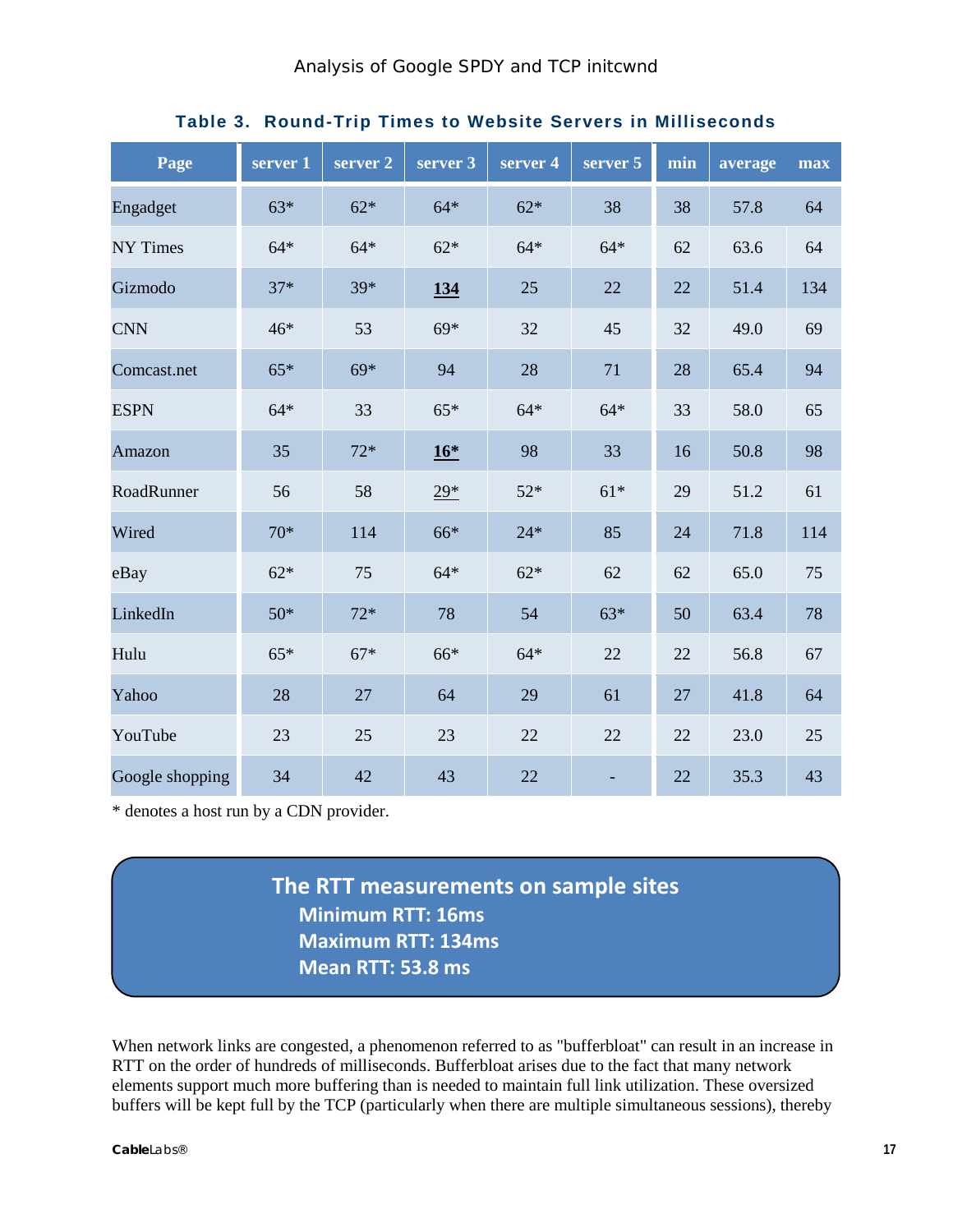<span id="page-16-0"></span>

| Page            | server 1 | server 2 | server 3 | server 4 | server 5 | min | average | max |
|-----------------|----------|----------|----------|----------|----------|-----|---------|-----|
| Engadget        | $63*$    | $62*$    | $64*$    | $62*$    | 38       | 38  | 57.8    | 64  |
| <b>NY Times</b> | $64*$    | $64*$    | $62*$    | $64*$    | $64*$    | 62  | 63.6    | 64  |
| Gizmodo         | $37*$    | 39*      | 134      | 25       | 22       | 22  | 51.4    | 134 |
| <b>CNN</b>      | 46*      | 53       | $69*$    | 32       | 45       | 32  | 49.0    | 69  |
| Comcast.net     | $65*$    | $69*$    | 94       | 28       | 71       | 28  | 65.4    | 94  |
| <b>ESPN</b>     | $64*$    | 33       | $65*$    | $64*$    | $64*$    | 33  | 58.0    | 65  |
| Amazon          | 35       | $72*$    | $16*$    | 98       | 33       | 16  | 50.8    | 98  |
| RoadRunner      | 56       | 58       | $29*$    | $52*$    | $61*$    | 29  | 51.2    | 61  |
| Wired           | $70*$    | 114      | 66*      | $24*$    | 85       | 24  | 71.8    | 114 |
| eBay            | $62*$    | 75       | $64*$    | $62*$    | 62       | 62  | 65.0    | 75  |
| LinkedIn        | $50*$    | $72*$    | 78       | 54       | $63*$    | 50  | 63.4    | 78  |
| Hulu            | $65*$    | $67*$    | 66*      | $64*$    | 22       | 22  | 56.8    | 67  |
| Yahoo           | 28       | 27       | 64       | 29       | 61       | 27  | 41.8    | 64  |
| YouTube         | 23       | 25       | 23       | 22       | 22       | 22  | 23.0    | 25  |
| Google shopping | 34       | 42       | 43       | 22       |          | 22  | 35.3    | 43  |

#### **Table 3. Round-Trip Times to Website Servers in Milliseconds**

\* denotes a host run by a CDN provider.

**The RTT measurements on sample sites Minimum RTT: 16ms Maximum RTT: 134ms Mean RTT: 53.8 ms**

When network links are congested, a phenomenon referred to as "bufferbloat" can result in an increase in RTT on the order of hundreds of milliseconds. Bufferbloat arises due to the fact that many network elements support much more buffering than is needed to maintain full link utilization. These oversized buffers will be kept full by the TCP (particularly when there are multiple simultaneous sessions), thereby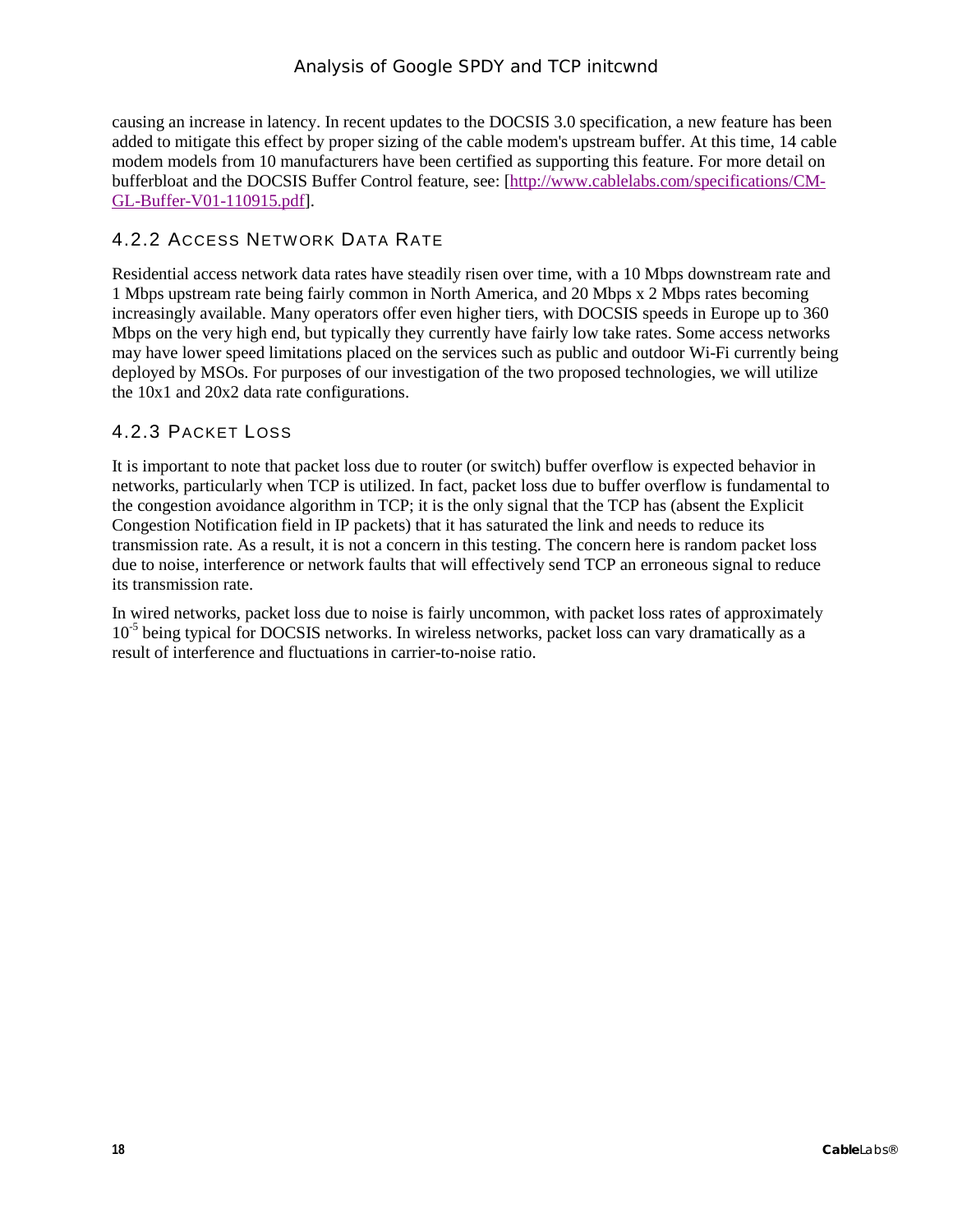causing an increase in latency. In recent updates to the DOCSIS 3.0 specification, a new feature has been added to mitigate this effect by proper sizing of the cable modem's upstream buffer. At this time, 14 cable modem models from 10 manufacturers have been certified as supporting this feature. For more detail on bufferbloat and the DOCSIS Buffer Control feature, see: [\[http://www.cablelabs.com/specifications/CM-](http://www.cablelabs.com/specifications/CM-GL-Buffer-V01-110915.pdf)[GL-Buffer-V01-110915.pdf\]](http://www.cablelabs.com/specifications/CM-GL-Buffer-V01-110915.pdf).

#### <span id="page-17-0"></span>4.2.2 ACCESS NETWORK DATA RATE

Residential access network data rates have steadily risen over time, with a 10 Mbps downstream rate and 1 Mbps upstream rate being fairly common in North America, and 20 Mbps x 2 Mbps rates becoming increasingly available. Many operators offer even higher tiers, with DOCSIS speeds in Europe up to 360 Mbps on the very high end, but typically they currently have fairly low take rates. Some access networks may have lower speed limitations placed on the services such as public and outdoor Wi-Fi currently being deployed by MSOs. For purposes of our investigation of the two proposed technologies, we will utilize the 10x1 and 20x2 data rate configurations.

#### <span id="page-17-1"></span>4.2.3 PACKET LOSS

It is important to note that packet loss due to router (or switch) buffer overflow is expected behavior in networks, particularly when TCP is utilized. In fact, packet loss due to buffer overflow is fundamental to the congestion avoidance algorithm in TCP; it is the only signal that the TCP has (absent the Explicit Congestion Notification field in IP packets) that it has saturated the link and needs to reduce its transmission rate. As a result, it is not a concern in this testing. The concern here is random packet loss due to noise, interference or network faults that will effectively send TCP an erroneous signal to reduce its transmission rate.

In wired networks, packet loss due to noise is fairly uncommon, with packet loss rates of approximately  $10^{-5}$  being typical for DOCSIS networks. In wireless networks, packet loss can vary dramatically as a result of interference and fluctuations in carrier-to-noise ratio.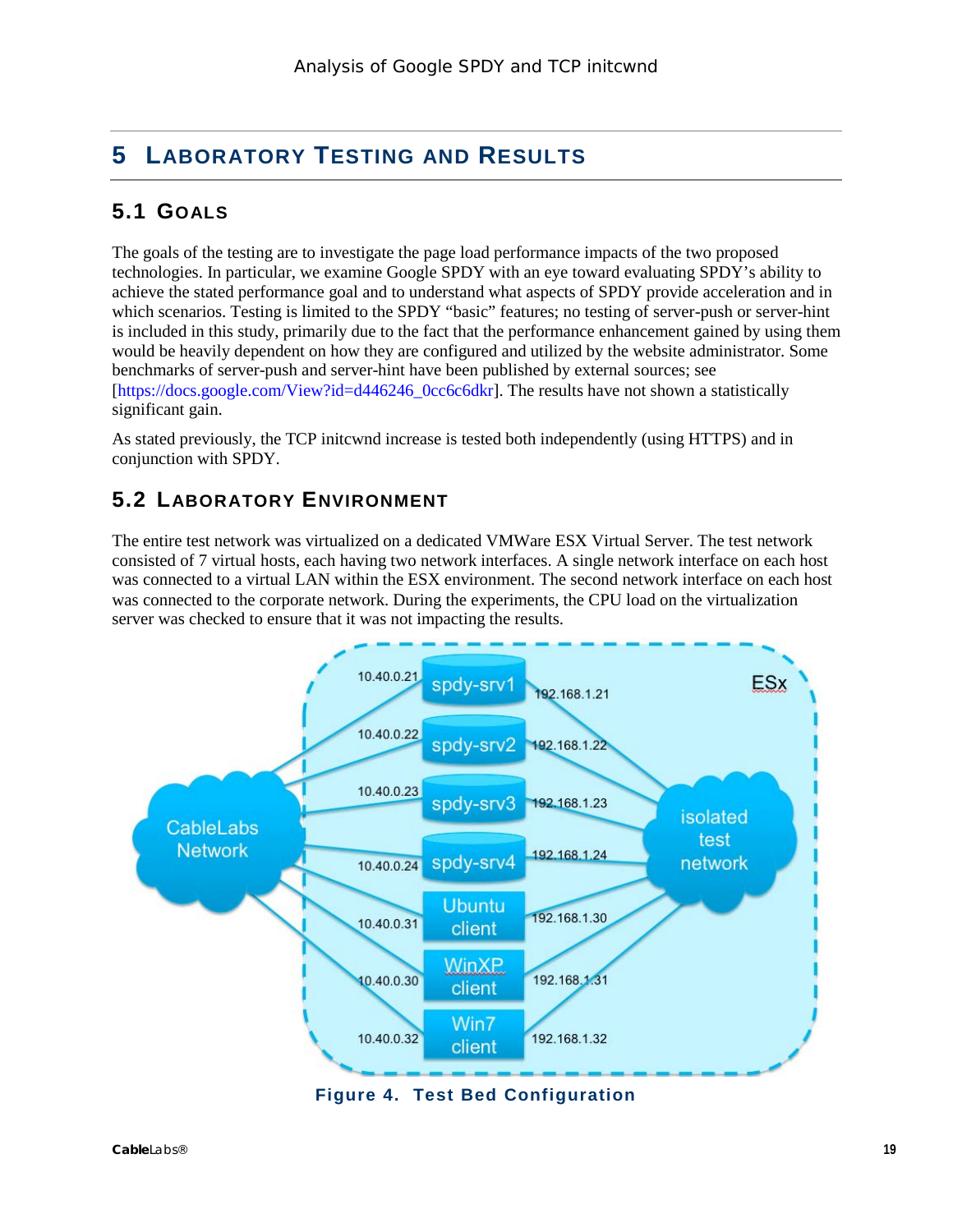# <span id="page-18-0"></span>**5 LABORATORY TESTING AND RESULTS**

# <span id="page-18-1"></span>**5.1 GOALS**

The goals of the testing are to investigate the page load performance impacts of the two proposed technologies. In particular, we examine Google SPDY with an eye toward evaluating SPDY's ability to achieve the stated performance goal and to understand what aspects of SPDY provide acceleration and in which scenarios. Testing is limited to the SPDY "basic" features; no testing of server-push or server-hint is included in this study, primarily due to the fact that the performance enhancement gained by using them would be heavily dependent on how they are configured and utilized by the website administrator. Some benchmarks of server-push and server-hint have been published by external sources; see [\[https://docs.google.com/View?id=d446246\\_0cc6c6dkr\]](https://docs.google.com/View?id=d446246_0cc6c6dkr). The results have not shown a statistically significant gain.

As stated previously, the TCP initcwnd increase is tested both independently (using HTTPS) and in conjunction with SPDY.

## <span id="page-18-2"></span>**5.2 LABORATORY ENVIRONMENT**

The entire test network was virtualized on a dedicated VMWare ESX Virtual Server. The test network consisted of 7 virtual hosts, each having two network interfaces. A single network interface on each host was connected to a virtual LAN within the ESX environment. The second network interface on each host was connected to the corporate network. During the experiments, the CPU load on the virtualization server was checked to ensure that it was not impacting the results.



<span id="page-18-3"></span>**Figure 4. Test Bed Configuration**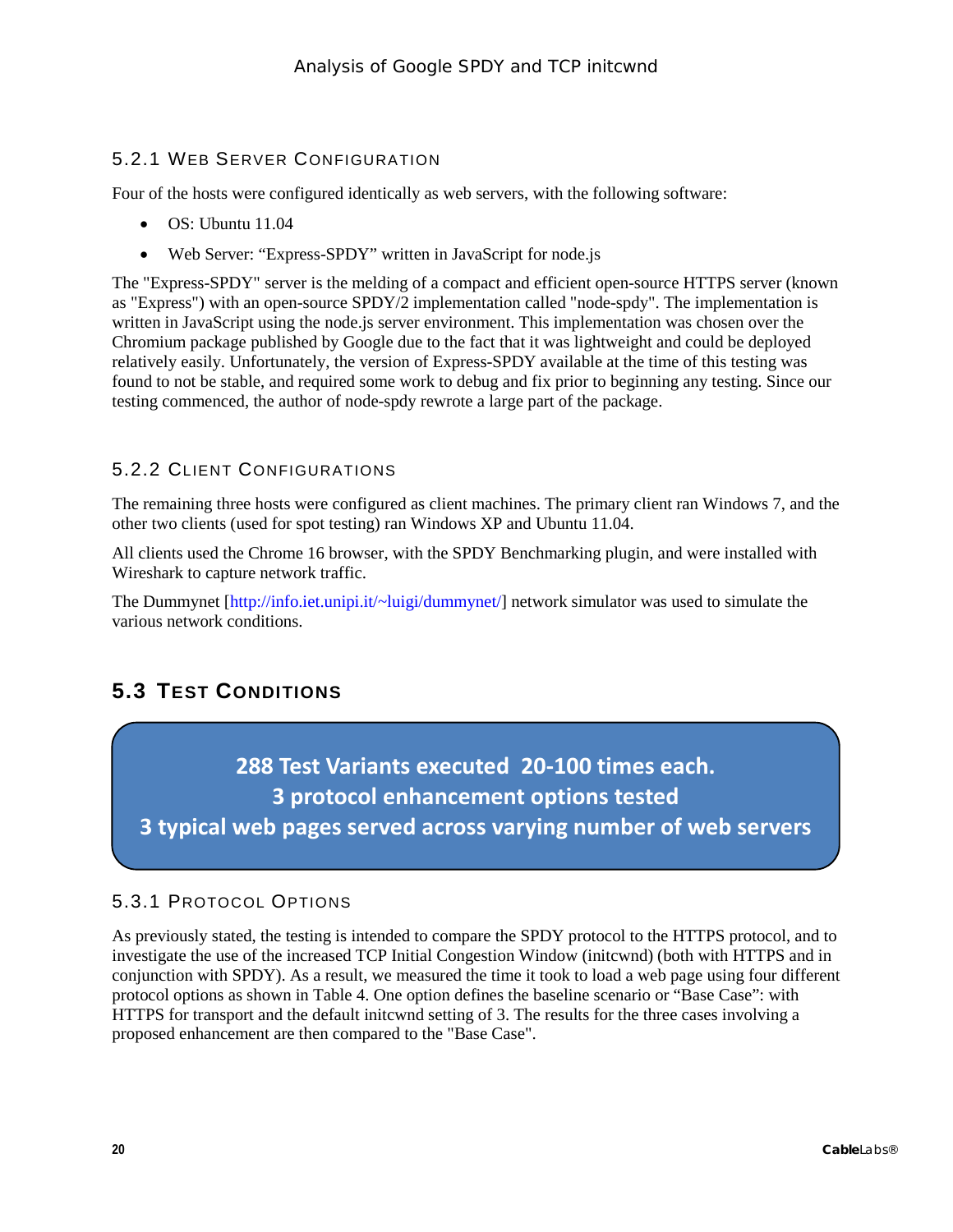#### <span id="page-19-0"></span>5.2.1 WEB SERVER CONFIGURATION

Four of the hosts were configured identically as web servers, with the following software:

- OS: Ubuntu 11.04
- Web Server: "Express-SPDY" written in JavaScript for node.js

The "Express-SPDY" server is the melding of a compact and efficient open-source HTTPS server (known as "Express") with an open-source SPDY/2 implementation called "node-spdy". The implementation is written in JavaScript using the node.js server environment. This implementation was chosen over the Chromium package published by Google due to the fact that it was lightweight and could be deployed relatively easily. Unfortunately, the version of Express-SPDY available at the time of this testing was found to not be stable, and required some work to debug and fix prior to beginning any testing. Since our testing commenced, the author of node-spdy rewrote a large part of the package.

#### <span id="page-19-1"></span>5.2.2 CLIENT CONFIGURATIONS

The remaining three hosts were configured as client machines. The primary client ran Windows 7, and the other two clients (used for spot testing) ran Windows XP and Ubuntu 11.04.

All clients used the Chrome 16 browser, with the SPDY Benchmarking plugin, and were installed with Wireshark to capture network traffic.

The Dummynet [\[http://info.iet.unipi.it/~luigi/dummynet/\]](http://info.iet.unipi.it/~luigi/dummynet/) network simulator was used to simulate the various network conditions.

# <span id="page-19-2"></span>**5.3 TEST CONDITIONS**

**288 Test Variants executed 20-100 times each. 3 protocol enhancement options tested 3 typical web pages served across varying number of web servers**

#### <span id="page-19-3"></span>5.3.1 PROTOCOL OPTIONS

As previously stated, the testing is intended to compare the SPDY protocol to the HTTPS protocol, and to investigate the use of the increased TCP Initial Congestion Window (initcwnd) (both with HTTPS and in conjunction with SPDY). As a result, we measured the time it took to load a web page using four different protocol options as shown in [Table](#page-20-1) 4. One option defines the baseline scenario or "Base Case": with HTTPS for transport and the default initcwnd setting of 3. The results for the three cases involving a proposed enhancement are then compared to the "Base Case".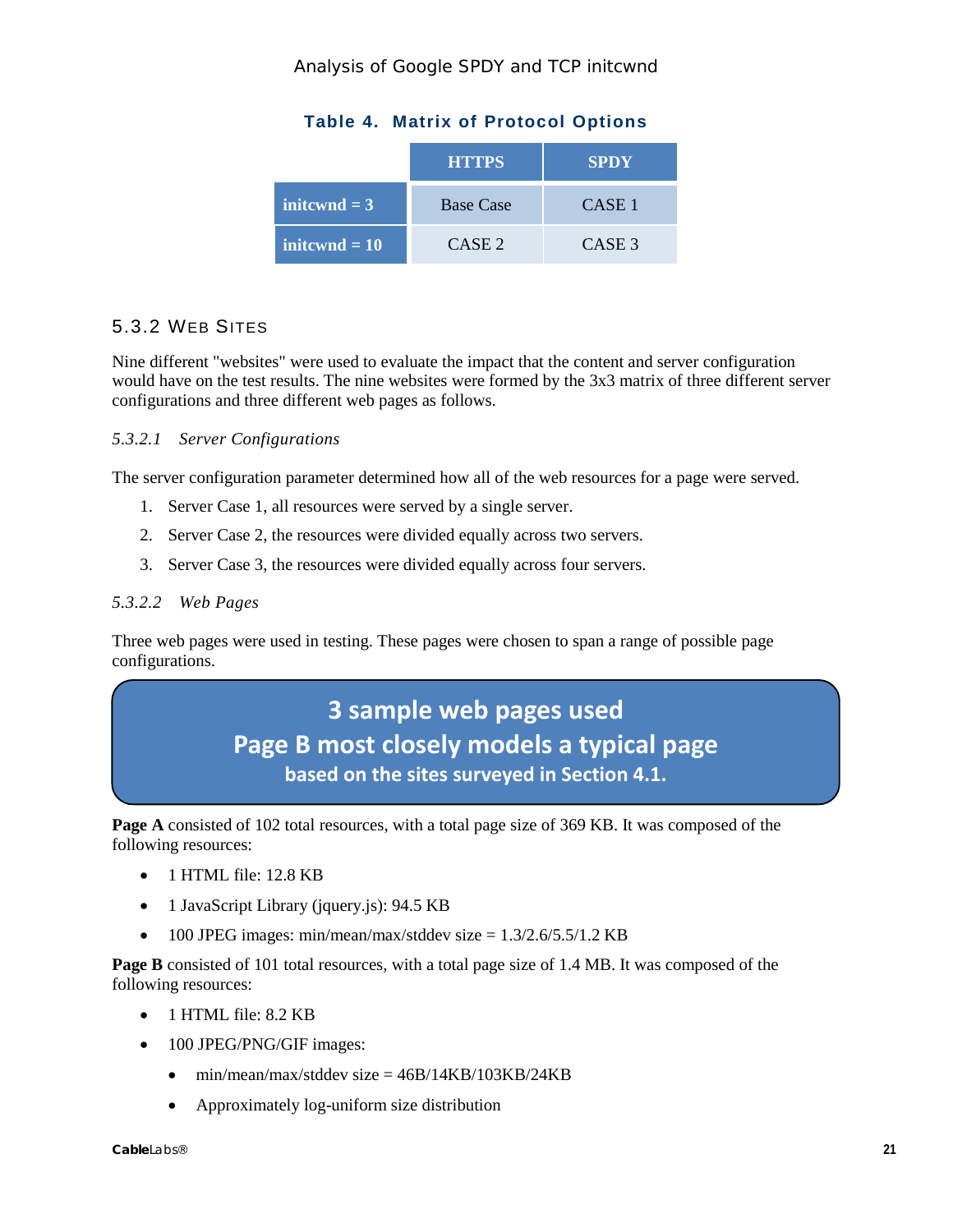<span id="page-20-1"></span>

|                       | <b>HTTPS</b>      | <b>SPDY</b> |
|-----------------------|-------------------|-------------|
| $\text{initound} = 3$ | <b>Base Case</b>  | CASE 1      |
| initewnd $= 10$       | CASE <sub>2</sub> | CASE 3      |

#### <span id="page-20-0"></span>5.3.2 WEB SITES

Nine different "websites" were used to evaluate the impact that the content and server configuration would have on the test results. The nine websites were formed by the 3x3 matrix of three different server configurations and three different web pages as follows.

#### *5.3.2.1 Server Configurations*

The server configuration parameter determined how all of the web resources for a page were served.

- 1. Server Case 1, all resources were served by a single server.
- 2. Server Case 2, the resources were divided equally across two servers.
- 3. Server Case 3, the resources were divided equally across four servers.

#### *5.3.2.2 Web Pages*

Three web pages were used in testing. These pages were chosen to span a range of possible page configurations.

# **3 sample web pages used Page B most closely models a typical page based on the sites surveyed in Section [4.1.](#page-14-1)**

**Page A** consisted of 102 total resources, with a total page size of 369 KB. It was composed of the following resources:

- 1 HTML file: 12.8 KB
- 1 JavaScript Library (jquery.js): 94.5 KB
- 100 JPEG images: min/mean/max/stddev size  $= 1.3/2.6/5.5/1.2$  KB

**Page B** consisted of 101 total resources, with a total page size of 1.4 MB. It was composed of the following resources:

- 1 HTML file: 8.2 KB
- 100 JPEG/PNG/GIF images:
	- min/mean/max/stddev size  $= 46B/14KB/103KB/24KB$
	- Approximately log-uniform size distribution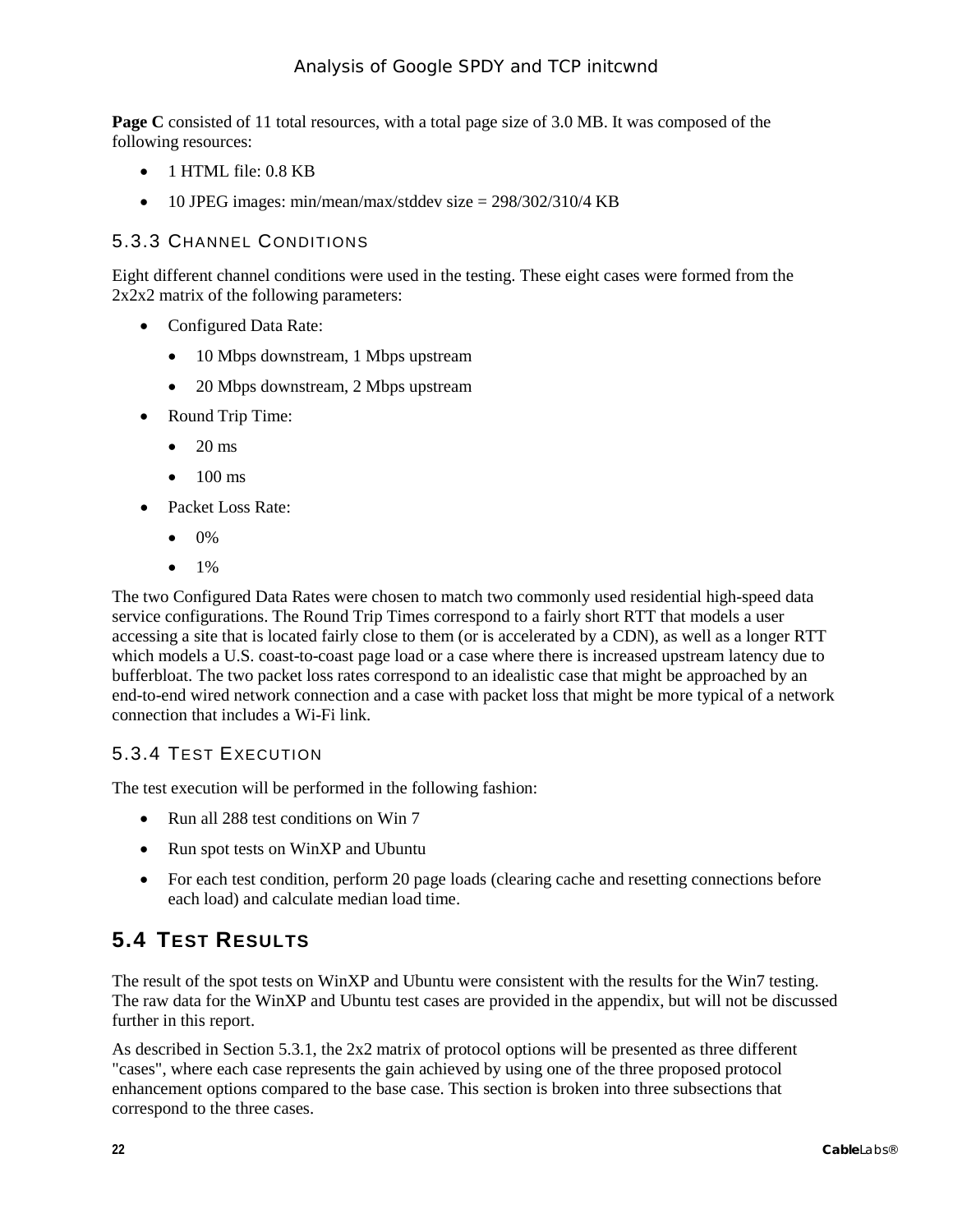**Page C** consisted of 11 total resources, with a total page size of 3.0 MB. It was composed of the following resources:

- 1 HTML file: 0.8 KB
- 10 JPEG images: min/mean/max/stddev size  $= 298/302/310/4$  KB

#### <span id="page-21-0"></span>5.3.3 CHANNEL CONDITIONS

Eight different channel conditions were used in the testing. These eight cases were formed from the 2x2x2 matrix of the following parameters:

- Configured Data Rate:
	- 10 Mbps downstream, 1 Mbps upstream
	- 20 Mbps downstream, 2 Mbps upstream
- Round Trip Time:
	- $\bullet$  20 ms
	- $\bullet$  100 ms
- Packet Loss Rate:
	- $\bullet$  0%
	- $1\%$

The two Configured Data Rates were chosen to match two commonly used residential high-speed data service configurations. The Round Trip Times correspond to a fairly short RTT that models a user accessing a site that is located fairly close to them (or is accelerated by a CDN), as well as a longer RTT which models a U.S. coast-to-coast page load or a case where there is increased upstream latency due to bufferbloat. The two packet loss rates correspond to an idealistic case that might be approached by an end-to-end wired network connection and a case with packet loss that might be more typical of a network connection that includes a Wi-Fi link.

#### <span id="page-21-1"></span>5.3.4 TEST EXECUTION

The test execution will be performed in the following fashion:

- Run all 288 test conditions on Win 7
- Run spot tests on WinXP and Ubuntu
- For each test condition, perform 20 page loads (clearing cache and resetting connections before each load) and calculate median load time.

## <span id="page-21-2"></span>**5.4 TEST RESULTS**

The result of the spot tests on WinXP and Ubuntu were consistent with the results for the Win7 testing. The raw data for the WinXP and Ubuntu test cases are provided in the appendix, but will not be discussed further in this report.

As described in Section [5.3.1,](#page-19-3) the 2x2 matrix of protocol options will be presented as three different "cases", where each case represents the gain achieved by using one of the three proposed protocol enhancement options compared to the base case. This section is broken into three subsections that correspond to the three cases.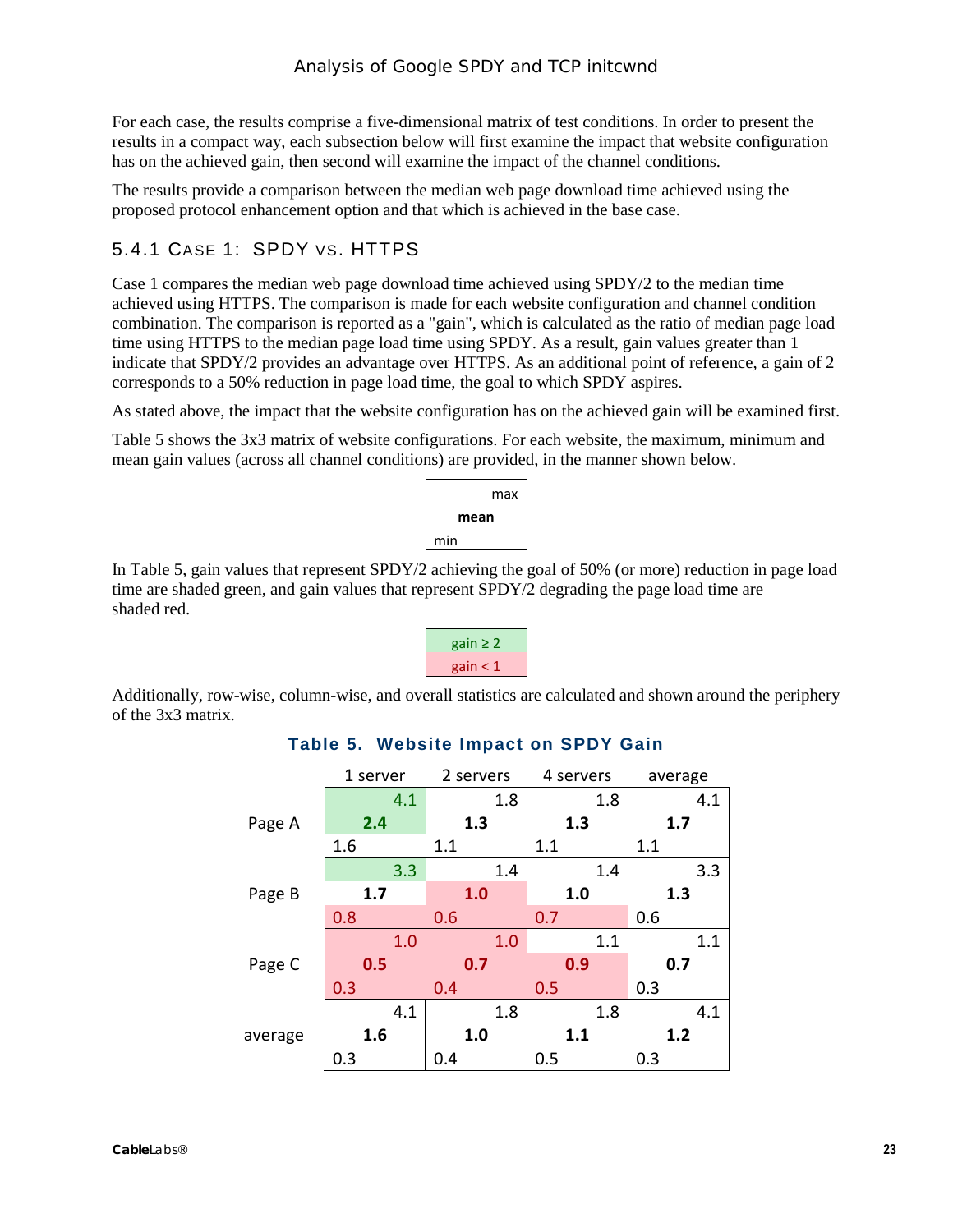For each case, the results comprise a five-dimensional matrix of test conditions. In order to present the results in a compact way, each subsection below will first examine the impact that website configuration has on the achieved gain, then second will examine the impact of the channel conditions.

The results provide a comparison between the median web page download time achieved using the proposed protocol enhancement option and that which is achieved in the base case.

#### <span id="page-22-0"></span>5.4.1 CASE 1: SPDY VS. HTTPS

Case 1 compares the median web page download time achieved using SPDY/2 to the median time achieved using HTTPS. The comparison is made for each website configuration and channel condition combination. The comparison is reported as a "gain", which is calculated as the ratio of median page load time using HTTPS to the median page load time using SPDY. As a result, gain values greater than 1 indicate that SPDY/2 provides an advantage over HTTPS. As an additional point of reference, a gain of 2 corresponds to a 50% reduction in page load time, the goal to which SPDY aspires.

As stated above, the impact that the website configuration has on the achieved gain will be examined first.

[Table](#page-22-1) 5 shows the 3x3 matrix of website configurations. For each website, the maximum, minimum and mean gain values (across all channel conditions) are provided, in the manner shown below.

|      | max |  |  |  |  |  |
|------|-----|--|--|--|--|--|
| mean |     |  |  |  |  |  |
| min  |     |  |  |  |  |  |

In [Table](#page-22-1) 5, gain values that represent SPDY/2 achieving the goal of 50% (or more) reduction in page load time are shaded green, and gain values that represent SPDY/2 degrading the page load time are shaded red.

gain  $\geq 2$  $gain < 1$ 

<span id="page-22-1"></span>Additionally, row-wise, column-wise, and overall statistics are calculated and shown around the periphery of the 3x3 matrix.

|         | 1 server | 2 servers | 4 servers | average |
|---------|----------|-----------|-----------|---------|
|         | 4.1      | 1.8       | 1.8       | 4.1     |
| Page A  | 2.4      | 1.3       | 1.3       | 1.7     |
|         | 1.6      | 1.1       | 1.1       | 1.1     |
|         | 3.3      | 1.4       | 1.4       | 3.3     |
| Page B  | 1.7      | 1.0       | 1.0       | 1.3     |
|         | 0.8      | 0.6       | 0.7       | 0.6     |
|         | 1.0      | 1.0       | 1.1       | 1.1     |
| Page C  | 0.5      | 0.7       | 0.9       | 0.7     |
|         | 0.3      | 0.4       | 0.5       | 0.3     |
|         | 4.1      | 1.8       | 1.8       | 4.1     |
| average | 1.6      | 1.0       | 1.1       | 1.2     |
|         | 0.3      | 0.4       | 0.5       | 0.3     |

#### **Table 5. Website Impact on SPDY Gain**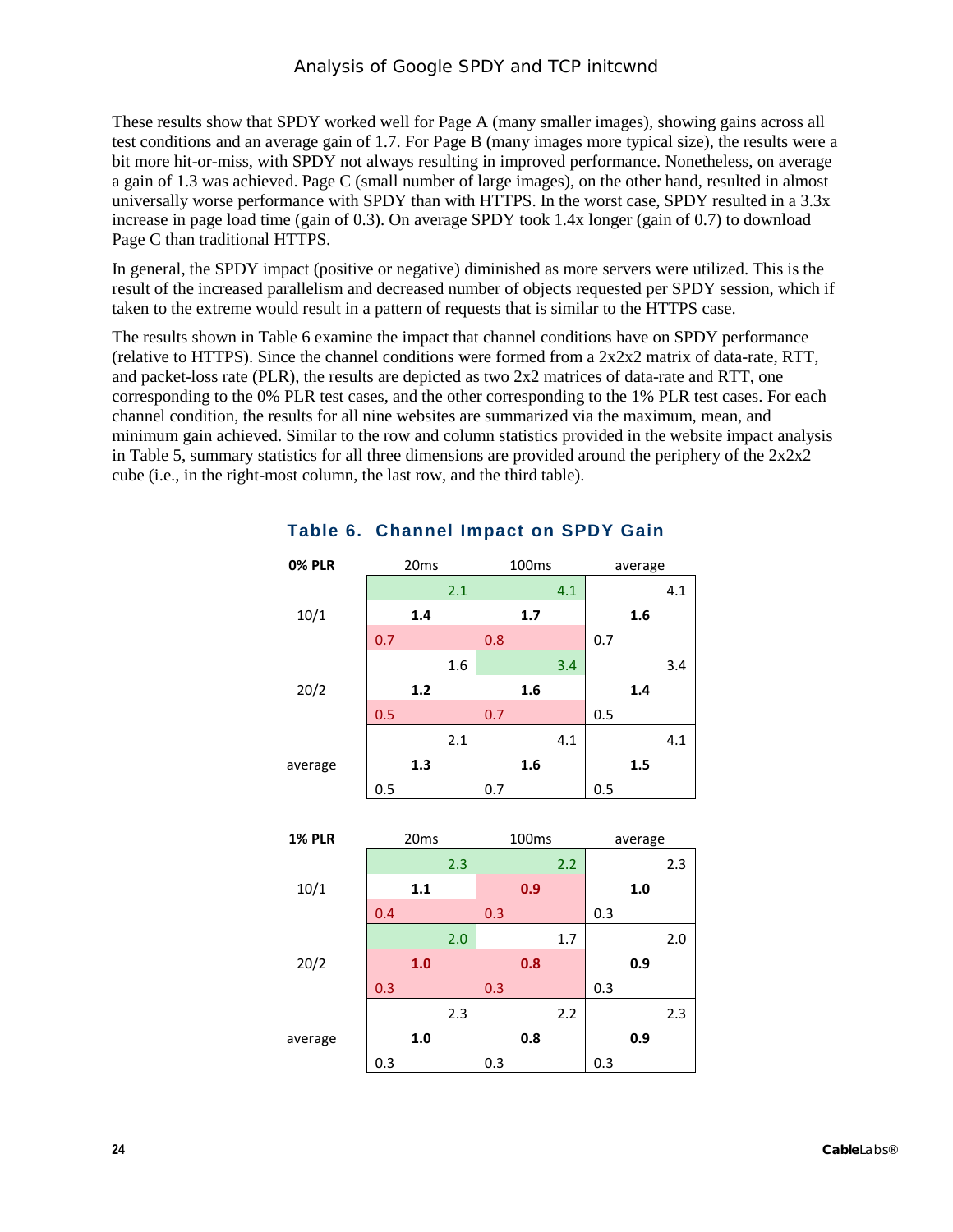These results show that SPDY worked well for Page A (many smaller images), showing gains across all test conditions and an average gain of 1.7. For Page B (many images more typical size), the results were a bit more hit-or-miss, with SPDY not always resulting in improved performance. Nonetheless, on average a gain of 1.3 was achieved. Page C (small number of large images), on the other hand, resulted in almost universally worse performance with SPDY than with HTTPS. In the worst case, SPDY resulted in a 3.3x increase in page load time (gain of 0.3). On average SPDY took 1.4x longer (gain of 0.7) to download Page C than traditional HTTPS.

In general, the SPDY impact (positive or negative) diminished as more servers were utilized. This is the result of the increased parallelism and decreased number of objects requested per SPDY session, which if taken to the extreme would result in a pattern of requests that is similar to the HTTPS case.

The results shown in [Table](#page-23-0) 6 examine the impact that channel conditions have on SPDY performance (relative to HTTPS). Since the channel conditions were formed from a 2x2x2 matrix of data-rate, RTT, and packet-loss rate (PLR), the results are depicted as two 2x2 matrices of data-rate and RTT, one corresponding to the 0% PLR test cases, and the other corresponding to the 1% PLR test cases. For each channel condition, the results for all nine websites are summarized via the maximum, mean, and minimum gain achieved. Similar to the row and column statistics provided in the website impact analysis in [Table](#page-22-1) 5, summary statistics for all three dimensions are provided around the periphery of the  $2x2x2$ cube (i.e., in the right-most column, the last row, and the third table).

| <b>0% PLR</b> |     | 20ms    |     |     | 100ms |     |     | average |     |
|---------------|-----|---------|-----|-----|-------|-----|-----|---------|-----|
|               |     |         | 2.1 |     |       | 4.1 |     |         | 4.1 |
| 10/1          |     | 1.4     |     |     | 1.7   |     |     | 1.6     |     |
|               | 0.7 |         |     | 0.8 |       |     | 0.7 |         |     |
|               |     |         | 1.6 |     |       | 3.4 |     |         | 3.4 |
| 20/2          |     | 1.2     |     |     | 1.6   |     |     | 1.4     |     |
|               | 0.5 |         |     | 0.7 |       |     | 0.5 |         |     |
|               |     |         | 2.1 |     |       | 4.1 |     |         | 4.1 |
| average       |     | 1.3     |     |     | 1.6   |     |     | 1.5     |     |
|               | 0.5 |         |     | 0.7 |       |     | 0.5 |         |     |
|               |     |         |     |     |       |     |     |         |     |
| <b>1% PLR</b> |     | 20ms    |     |     | 100ms |     |     | average |     |
|               |     |         | 2.3 |     |       | 2.2 |     |         | 2.3 |
| 10/1          |     | 1.1     |     |     | 0.9   |     |     | 1.0     |     |
|               | 0.4 |         |     |     |       |     |     |         |     |
|               |     |         |     | 0.3 |       |     | 0.3 |         |     |
|               |     |         | 2.0 |     |       | 1.7 |     |         | 2.0 |
| 20/2          |     | 1.0     |     |     | 0.8   |     |     | 0.9     |     |
|               | 0.3 |         |     | 0.3 |       |     | 0.3 |         |     |
|               |     |         | 2.3 |     |       | 2.2 |     |         | 2.3 |
| average       |     | $1.0\,$ |     |     | 0.8   |     |     | 0.9     |     |

#### <span id="page-23-0"></span>**Table 6. Channel Impact on SPDY Gain**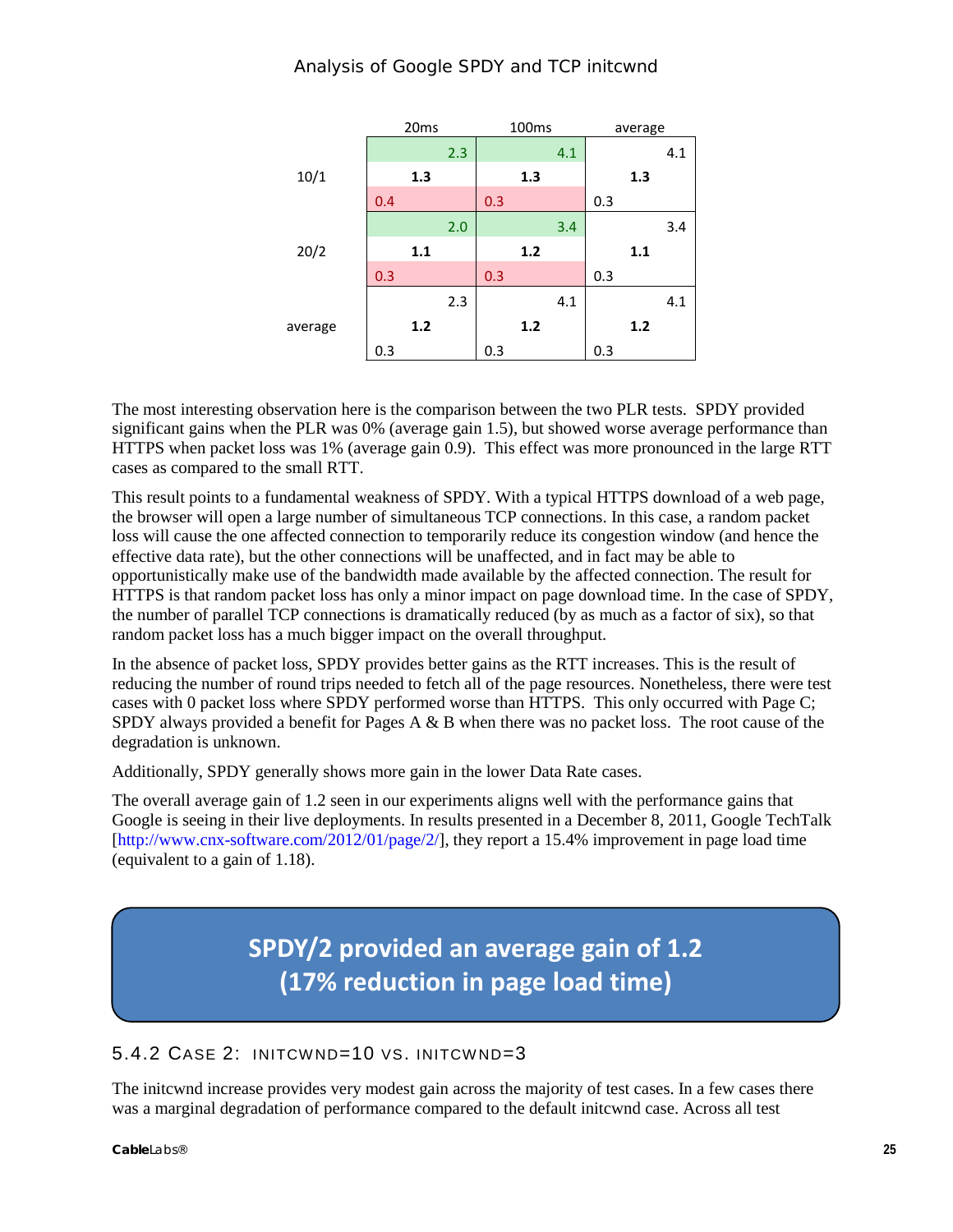|         | 20 <sub>ms</sub> |       | 100 <sub>ms</sub> |     |     | average |     |     |     |
|---------|------------------|-------|-------------------|-----|-----|---------|-----|-----|-----|
|         |                  |       | 2.3               |     |     | 4.1     |     |     | 4.1 |
| 10/1    | 1.3              |       | 1.3               |     |     | 1.3     |     |     |     |
|         | 0.4              |       |                   | 0.3 |     |         | 0.3 |     |     |
|         |                  |       | 2.0               |     |     | 3.4     |     |     | 3.4 |
| 20/2    |                  | 1.1   |                   |     | 1.2 |         |     | 1.1 |     |
|         | 0.3              |       |                   | 0.3 |     |         | 0.3 |     |     |
|         |                  |       | 2.3               |     |     | 4.1     |     |     | 4.1 |
| average |                  | $1.2$ |                   |     | 1.2 |         |     | 1.2 |     |
|         | 0.3              |       |                   | 0.3 |     |         | 0.3 |     |     |

The most interesting observation here is the comparison between the two PLR tests. SPDY provided significant gains when the PLR was 0% (average gain 1.5), but showed worse average performance than HTTPS when packet loss was 1% (average gain 0.9). This effect was more pronounced in the large RTT cases as compared to the small RTT.

This result points to a fundamental weakness of SPDY. With a typical HTTPS download of a web page, the browser will open a large number of simultaneous TCP connections. In this case, a random packet loss will cause the one affected connection to temporarily reduce its congestion window (and hence the effective data rate), but the other connections will be unaffected, and in fact may be able to opportunistically make use of the bandwidth made available by the affected connection. The result for HTTPS is that random packet loss has only a minor impact on page download time. In the case of SPDY, the number of parallel TCP connections is dramatically reduced (by as much as a factor of six), so that random packet loss has a much bigger impact on the overall throughput.

In the absence of packet loss, SPDY provides better gains as the RTT increases. This is the result of reducing the number of round trips needed to fetch all of the page resources. Nonetheless, there were test cases with 0 packet loss where SPDY performed worse than HTTPS. This only occurred with Page C; SPDY always provided a benefit for Pages A  $\&$  B when there was no packet loss. The root cause of the degradation is unknown.

Additionally, SPDY generally shows more gain in the lower Data Rate cases.

The overall average gain of 1.2 seen in our experiments aligns well with the performance gains that Google is seeing in their live deployments. In results presented in a December 8, 2011, Google TechTalk [\[http://www.cnx-software.com/2012/01/page/2/\]](http://www.cnx-software.com/2012/01/page/2/), they report a 15.4% improvement in page load time (equivalent to a gain of 1.18).

# **SPDY/2 provided an average gain of 1.2 (17% reduction in page load time)**

#### <span id="page-24-0"></span>5.4.2 CASE 2: INITCWND=10 VS. INITCWND=3

The initcwnd increase provides very modest gain across the majority of test cases. In a few cases there was a marginal degradation of performance compared to the default initcwnd case. Across all test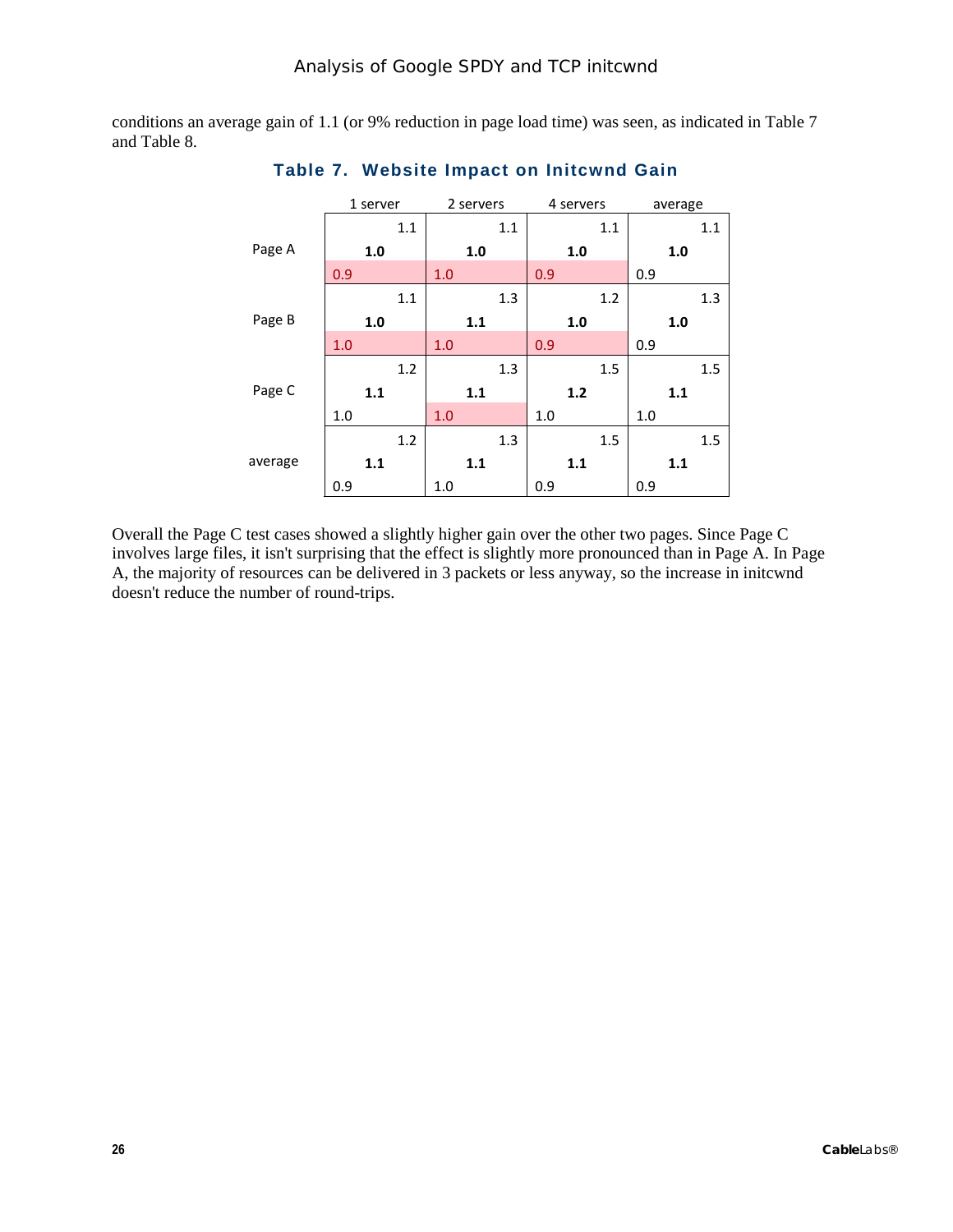<span id="page-25-0"></span>conditions an average gain of 1.1 (or 9% reduction in page load time) was seen, as indicated i[n Table](#page-25-0) 7 and [Table](#page-26-0) 8.

|         |     | 1 server |     | 2 servers |     | 4 servers |     | average |     |     |     |     |
|---------|-----|----------|-----|-----------|-----|-----------|-----|---------|-----|-----|-----|-----|
|         |     |          | 1.1 |           |     | 1.1       |     |         | 1.1 |     |     | 1.1 |
| Page A  |     | 1.0      |     |           | 1.0 |           |     | 1.0     |     |     | 1.0 |     |
|         | 0.9 |          |     | 1.0       |     |           | 0.9 |         |     | 0.9 |     |     |
|         |     |          | 1.1 |           |     | 1.3       |     |         | 1.2 |     |     | 1.3 |
| Page B  |     | 1.0      |     |           | 1.1 |           |     | 1.0     |     |     | 1.0 |     |
|         | 1.0 |          |     | 1.0       |     |           | 0.9 |         |     | 0.9 |     |     |
|         |     |          | 1.2 |           |     | 1.3       |     |         | 1.5 |     |     | 1.5 |
| Page C  |     | 1.1      |     |           | 1.1 |           |     | $1.2$   |     |     | 1.1 |     |
|         | 1.0 |          |     | 1.0       |     |           | 1.0 |         |     | 1.0 |     |     |
|         |     |          | 1.2 |           |     | 1.3       |     |         | 1.5 |     |     | 1.5 |
| average |     | 1.1      |     |           | 1.1 |           |     | 1.1     |     |     | 1.1 |     |
|         | 0.9 |          |     | 1.0       |     |           | 0.9 |         |     | 0.9 |     |     |

**Table 7. Website Impact on Initcwnd Gain**

Overall the Page C test cases showed a slightly higher gain over the other two pages. Since Page C involves large files, it isn't surprising that the effect is slightly more pronounced than in Page A. In Page A, the majority of resources can be delivered in 3 packets or less anyway, so the increase in initcwnd doesn't reduce the number of round-trips.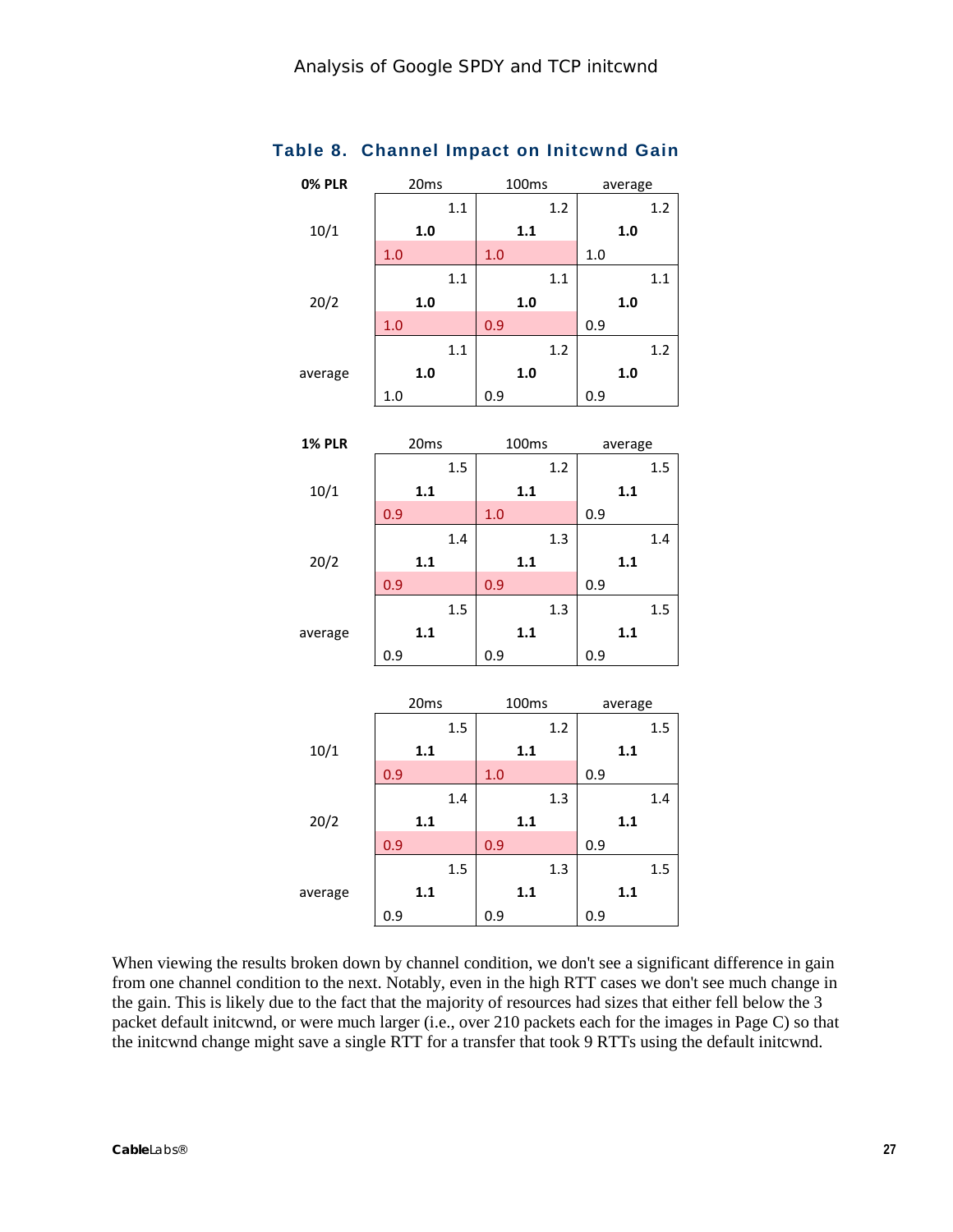| <b>0% PLR</b> | 20ms |     |     | 100ms |     | average |         |     |
|---------------|------|-----|-----|-------|-----|---------|---------|-----|
|               |      | 1.1 |     |       | 1.2 |         |         | 1.2 |
| 10/1          | 1.0  |     |     | 1.1   |     |         | 1.0     |     |
|               | 1.0  |     | 1.0 |       |     | 1.0     |         |     |
|               |      | 1.1 |     |       | 1.1 |         |         | 1.1 |
| 20/2          | 1.0  |     |     | 1.0   |     |         | 1.0     |     |
|               | 1.0  |     | 0.9 |       |     | 0.9     |         |     |
|               |      | 1.1 |     |       | 1.2 |         |         | 1.2 |
| average       | 1.0  |     |     | 1.0   |     |         | 1.0     |     |
|               | 1.0  |     | 0.9 |       |     | 0.9     |         |     |
|               |      |     |     |       |     |         |         |     |
| <b>1% PLR</b> | 20ms |     |     | 100ms |     |         | average |     |
|               |      | 1.5 |     |       | 1.2 |         |         | 1.5 |
| 10/1          | 1.1  |     |     | 1.1   |     |         | 1.1     |     |
|               | 0.9  |     | 1.0 |       |     | 0.9     |         |     |
|               |      | 1.4 |     |       | 1.3 |         |         | 1.4 |
| 20/2          | 1.1  |     |     | $1.1$ |     |         | 1.1     |     |
|               | 0.9  |     | 0.9 |       |     | 0.9     |         |     |
|               |      | 1.5 |     |       | 1.3 |         |         | 1.5 |
| average       | 1.1  |     |     | $1.1$ |     |         | 1.1     |     |
|               | 0.9  |     | 0.9 |       |     | 0.9     |         |     |
|               |      |     |     |       |     |         |         |     |
|               | 20ms |     |     | 100ms |     |         | average |     |
|               |      | 1.5 |     |       | 1.2 |         |         | 1.5 |
| 10/1          | 1.1  |     |     | 1.1   |     |         | 1.1     |     |
|               | 0.9  |     | 1.0 |       |     | 0.9     |         |     |
|               |      | 1.4 |     |       | 1.3 |         |         | 1.4 |
| 20/2          | 1.1  |     |     | 1.1   |     |         | 1.1     |     |
|               | 0.9  |     | 0.9 |       |     | 0.9     |         |     |
|               |      | 1.5 |     |       | 1.3 |         |         | 1.5 |
| average       | 1.1  |     |     | 1.1   |     |         | 1.1     |     |
|               | 0.9  |     | 0.9 |       |     | 0.9     |         |     |

#### <span id="page-26-0"></span>**Table 8. Channel Impact on Initcwnd Gain**

When viewing the results broken down by channel condition, we don't see a significant difference in gain from one channel condition to the next. Notably, even in the high RTT cases we don't see much change in the gain. This is likely due to the fact that the majority of resources had sizes that either fell below the 3 packet default initcwnd, or were much larger (i.e., over 210 packets each for the images in Page C) so that the initcwnd change might save a single RTT for a transfer that took 9 RTTs using the default initcwnd.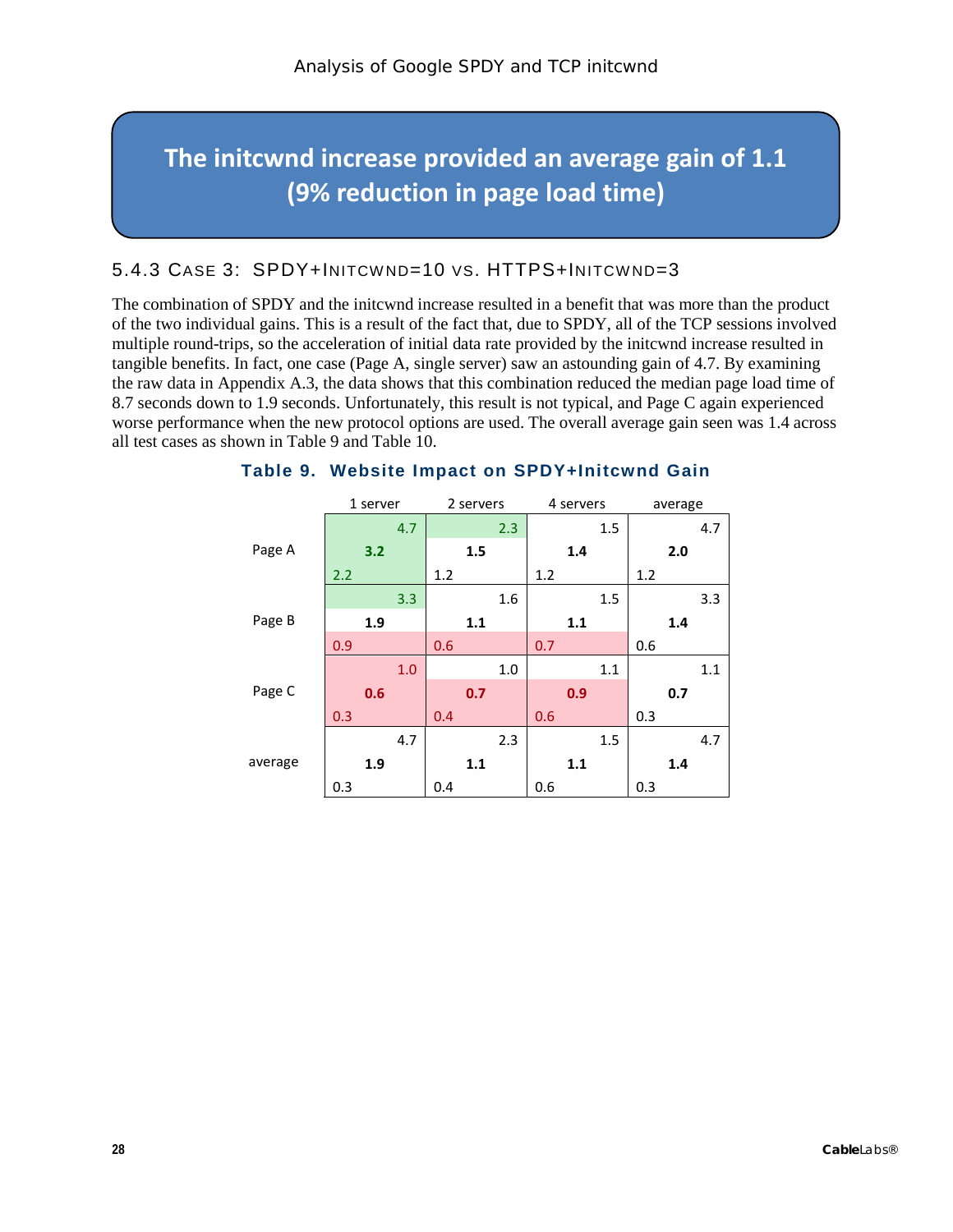# **The initcwnd increase provided an average gain of 1.1 (9% reduction in page load time)**

#### <span id="page-27-0"></span>5.4.3 CASE 3: SPDY+INITCWND=10 VS. HTTPS+INITCWND=3

The combination of SPDY and the initcwnd increase resulted in a benefit that was more than the product of the two individual gains. This is a result of the fact that, due to SPDY, all of the TCP sessions involved multiple round-trips, so the acceleration of initial data rate provided by the initcwnd increase resulted in tangible benefits. In fact, one case (Page A, single server) saw an astounding gain of 4.7. By examining the raw data in Appendix [A.3,](#page-32-0) the data shows that this combination reduced the median page load time of 8.7 seconds down to 1.9 seconds. Unfortunately, this result is not typical, and Page C again experienced worse performance when the new protocol options are used. The overall average gain seen was 1.4 across all test cases as shown in [Table](#page-27-1) 9 and [Table](#page-28-0) 10.

|         | 1 server |     |     | 2 servers |     | 4 servers |     |     | average |     |     |
|---------|----------|-----|-----|-----------|-----|-----------|-----|-----|---------|-----|-----|
|         |          | 4.7 |     |           | 2.3 |           |     | 1.5 |         |     | 4.7 |
| Page A  | 3.2      |     |     | 1.5       |     |           | 1.4 |     |         | 2.0 |     |
|         | 2.2      |     | 1.2 |           |     | 1.2       |     |     | 1.2     |     |     |
|         |          | 3.3 |     |           | 1.6 |           |     | 1.5 |         |     | 3.3 |
| Page B  | 1.9      |     |     | 1.1       |     |           | 1.1 |     |         | 1.4 |     |
|         | 0.9      |     | 0.6 |           |     | 0.7       |     |     | 0.6     |     |     |
|         |          | 1.0 |     |           | 1.0 |           |     | 1.1 |         |     | 1.1 |
| Page C  | 0.6      |     |     | 0.7       |     |           | 0.9 |     |         | 0.7 |     |
|         | 0.3      |     | 0.4 |           |     | 0.6       |     |     | 0.3     |     |     |
|         |          | 4.7 |     |           | 2.3 |           |     | 1.5 |         |     | 4.7 |
| average | 1.9      |     |     | 1.1       |     |           | 1.1 |     |         | 1.4 |     |
|         | 0.3      |     | 0.4 |           |     | 0.6       |     |     | 0.3     |     |     |

#### <span id="page-27-1"></span>**Table 9. Website Impact on SPDY+Initcwnd Gain**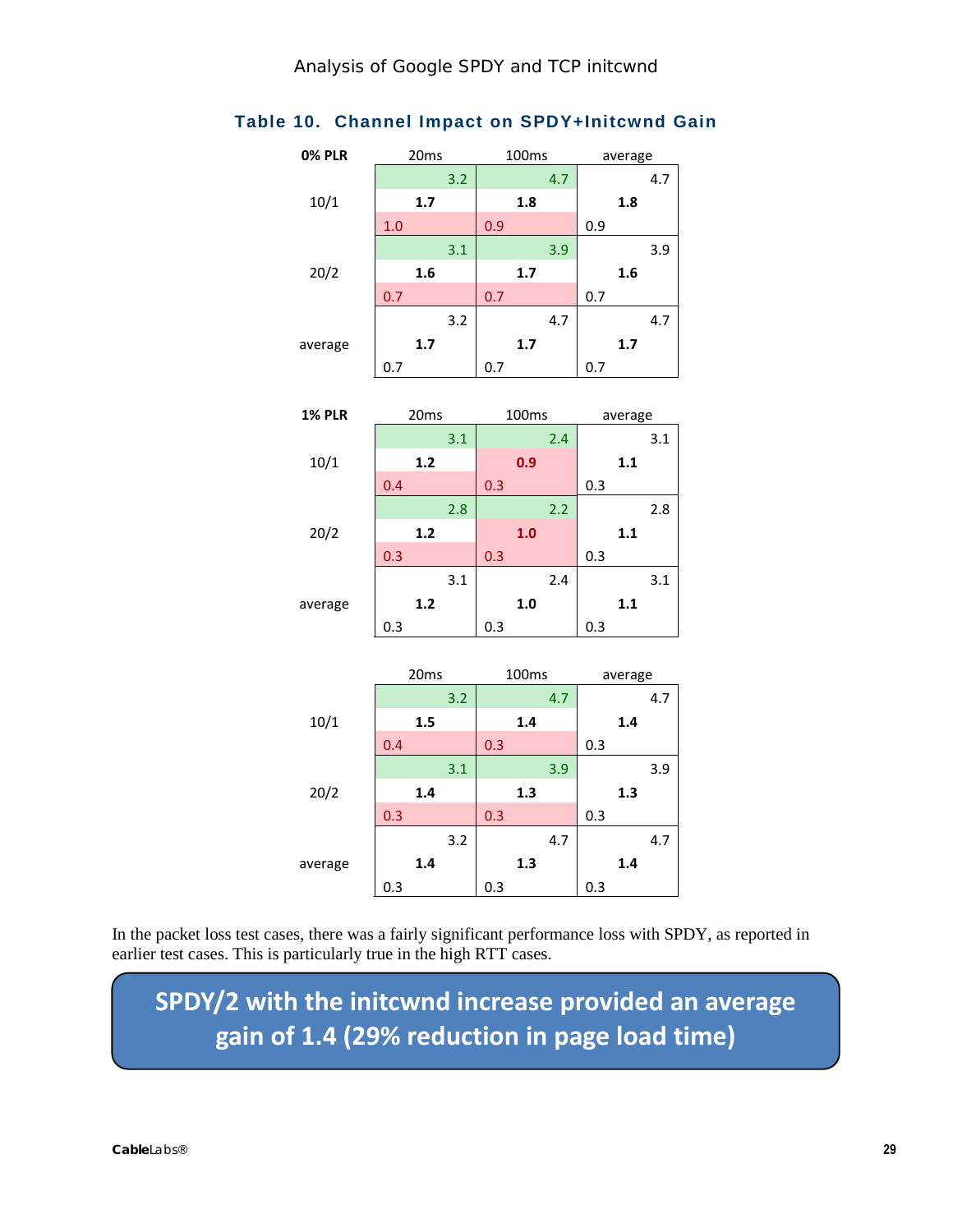#### <span id="page-28-0"></span>**Table 10. Channel Impact on SPDY+Initcwnd Gain**

| <b>0% PLR</b> | 20ms             | 100ms             | average |
|---------------|------------------|-------------------|---------|
|               | 3.2              | 4.7               | 4.7     |
| 10/1          | 1.7              | 1.8               | 1.8     |
|               | 1.0              | 0.9               | 0.9     |
|               | 3.1              | 3.9               | 3.9     |
| 20/2          | 1.6              | 1.7               | 1.6     |
|               | 0.7              | 0.7               | 0.7     |
|               | 3.2              | 4.7               | 4.7     |
| average       | 1.7              | 1.7               | 1.7     |
|               | 0.7              | 0.7               | 0.7     |
|               |                  |                   |         |
| <b>1% PLR</b> | 20ms             | 100ms             | average |
|               | 3.1              | 2.4               | 3.1     |
| 10/1          | $1.2$            | 0.9               | 1.1     |
|               | 0.4              | 0.3               | 0.3     |
|               | 2.8              | 2.2               | 2.8     |
| 20/2          | $1.2$            | 1.0               | 1.1     |
|               | 0.3              | 0.3               | 0.3     |
|               | 3.1              | 2.4               | 3.1     |
| average       | $1.2$            | 1.0               | 1.1     |
|               | 0.3              | 0.3               | 0.3     |
|               |                  |                   |         |
|               | 20 <sub>ms</sub> | 100 <sub>ms</sub> | average |
|               | 3.2              | 4.7               | 4.7     |
| 10/1          | 1.5              | 1.4               | 1.4     |
|               | 0.4              | 0.3               | 0.3     |
|               | 3.1              | 3.9               | 3.9     |
| 20/2          | 1.4              | 1.3               | 1.3     |
|               | 0.3              | 0.3               | 0.3     |
|               | 3.2              | 4.7               | 4.7     |
| average       | 1.4              | 1.3               | 1.4     |
|               | 0.3              | 0.3               | 0.3     |

In the packet loss test cases, there was a fairly significant performance loss with SPDY, as reported in earlier test cases. This is particularly true in the high RTT cases.

**SPDY/2 with the initcwnd increase provided an average gain of 1.4 (29% reduction in page load time)**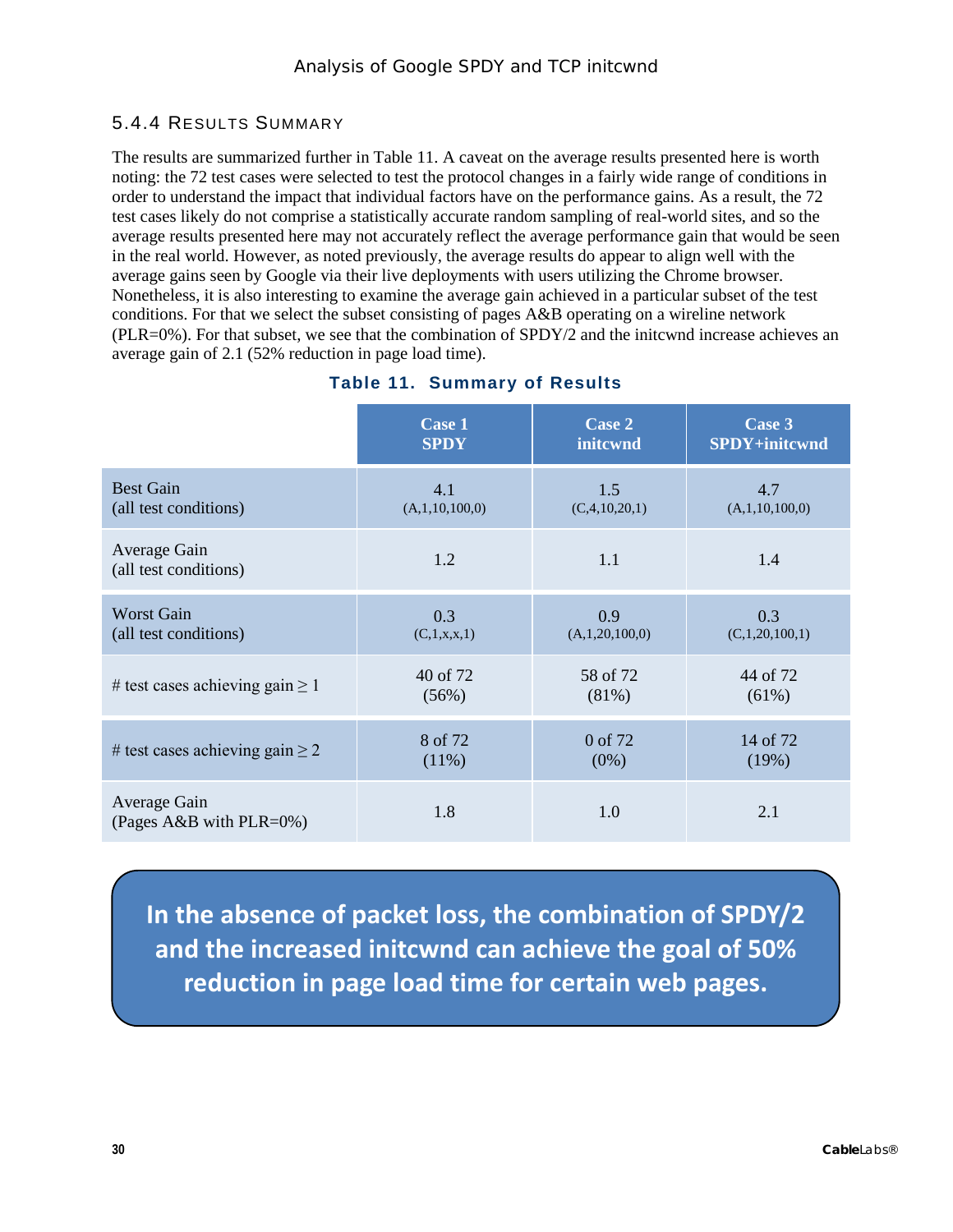#### <span id="page-29-0"></span>5.4.4 RESULTS SUMMARY

The results are summarized further in [Table](#page-29-1) 11. A caveat on the average results presented here is worth noting: the 72 test cases were selected to test the protocol changes in a fairly wide range of conditions in order to understand the impact that individual factors have on the performance gains. As a result, the 72 test cases likely do not comprise a statistically accurate random sampling of real-world sites, and so the average results presented here may not accurately reflect the average performance gain that would be seen in the real world. However, as noted previously, the average results do appear to align well with the average gains seen by Google via their live deployments with users utilizing the Chrome browser. Nonetheless, it is also interesting to examine the average gain achieved in a particular subset of the test conditions. For that we select the subset consisting of pages A&B operating on a wireline network (PLR=0%). For that subset, we see that the combination of SPDY/2 and the initcwnd increase achieves an average gain of 2.1 (52% reduction in page load time).

<span id="page-29-1"></span>

|                                              | <b>Case 1</b>  | Case 2            | Case 3         |
|----------------------------------------------|----------------|-------------------|----------------|
|                                              | <b>SPDY</b>    | initcwnd          | SPDY+initcwnd  |
| <b>Best Gain</b>                             | 4.1            | 1.5               | 4.7            |
| (all test conditions)                        | (A,1,10,100,0) | (C, 4, 10, 20, 1) | (A,1,10,100,0) |
| Average Gain<br>(all test conditions)        | 1.2            | 1.1               | 1.4            |
| <b>Worst Gain</b>                            | 0.3            | 0.9               | 0.3            |
| (all test conditions)                        | (C,1,x,x,1)    | (A,1,20,100,0)    | (C,1,20,100,1) |
| # test cases achieving gain $\geq 1$         | 40 of 72       | 58 of 72          | 44 of 72       |
|                                              | (56%)          | (81%)             | (61%)          |
| # test cases achieving gain $\geq 2$         | 8 of 72        | 0 of 72           | 14 of 72       |
|                                              | (11%)          | $(0\%)$           | (19%)          |
| Average Gain<br>(Pages A&B with PLR= $0\%$ ) | 1.8            | 1.0               | 2.1            |

#### **Table 11. Summary of Results**

**In the absence of packet loss, the combination of SPDY/2 and the increased initcwnd can achieve the goal of 50% reduction in page load time for certain web pages.**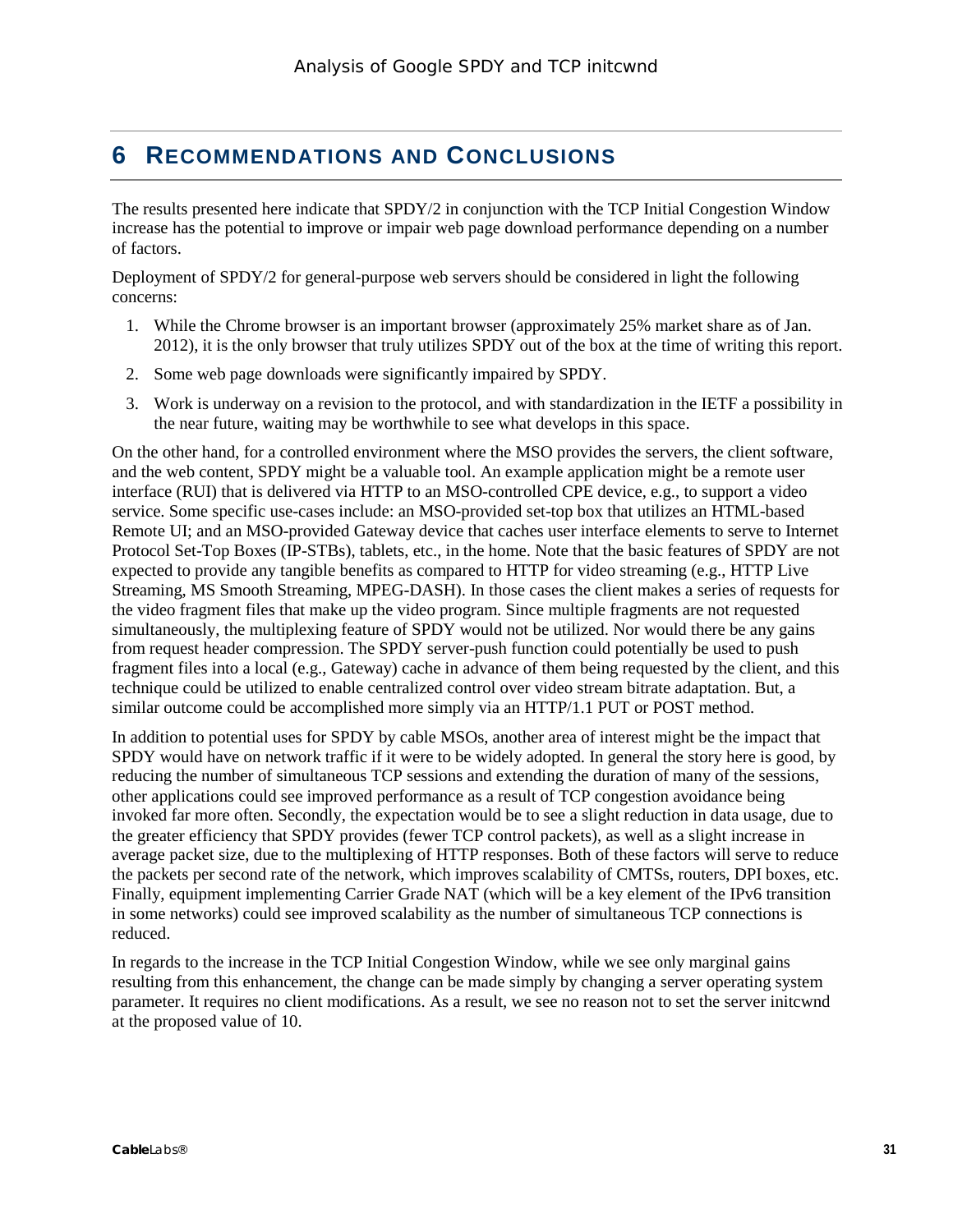# <span id="page-30-0"></span>**6 RECOMMENDATIONS AND CONCLUSIONS**

The results presented here indicate that SPDY/2 in conjunction with the TCP Initial Congestion Window increase has the potential to improve or impair web page download performance depending on a number of factors.

Deployment of SPDY/2 for general-purpose web servers should be considered in light the following concerns:

- 1. While the Chrome browser is an important browser (approximately 25% market share as of Jan. 2012), it is the only browser that truly utilizes SPDY out of the box at the time of writing this report.
- 2. Some web page downloads were significantly impaired by SPDY.
- 3. Work is underway on a revision to the protocol, and with standardization in the IETF a possibility in the near future, waiting may be worthwhile to see what develops in this space.

On the other hand, for a controlled environment where the MSO provides the servers, the client software, and the web content, SPDY might be a valuable tool. An example application might be a remote user interface (RUI) that is delivered via HTTP to an MSO-controlled CPE device, e.g., to support a video service. Some specific use-cases include: an MSO-provided set-top box that utilizes an HTML-based Remote UI; and an MSO-provided Gateway device that caches user interface elements to serve to Internet Protocol Set-Top Boxes (IP-STBs), tablets, etc., in the home. Note that the basic features of SPDY are not expected to provide any tangible benefits as compared to HTTP for video streaming (e.g., HTTP Live Streaming, MS Smooth Streaming, MPEG-DASH). In those cases the client makes a series of requests for the video fragment files that make up the video program. Since multiple fragments are not requested simultaneously, the multiplexing feature of SPDY would not be utilized. Nor would there be any gains from request header compression. The SPDY server-push function could potentially be used to push fragment files into a local (e.g., Gateway) cache in advance of them being requested by the client, and this technique could be utilized to enable centralized control over video stream bitrate adaptation. But, a similar outcome could be accomplished more simply via an HTTP/1.1 PUT or POST method.

In addition to potential uses for SPDY by cable MSOs, another area of interest might be the impact that SPDY would have on network traffic if it were to be widely adopted. In general the story here is good, by reducing the number of simultaneous TCP sessions and extending the duration of many of the sessions, other applications could see improved performance as a result of TCP congestion avoidance being invoked far more often. Secondly, the expectation would be to see a slight reduction in data usage, due to the greater efficiency that SPDY provides (fewer TCP control packets), as well as a slight increase in average packet size, due to the multiplexing of HTTP responses. Both of these factors will serve to reduce the packets per second rate of the network, which improves scalability of CMTSs, routers, DPI boxes, etc. Finally, equipment implementing Carrier Grade NAT (which will be a key element of the IPv6 transition in some networks) could see improved scalability as the number of simultaneous TCP connections is reduced.

In regards to the increase in the TCP Initial Congestion Window, while we see only marginal gains resulting from this enhancement, the change can be made simply by changing a server operating system parameter. It requires no client modifications. As a result, we see no reason not to set the server initcwnd at the proposed value of 10.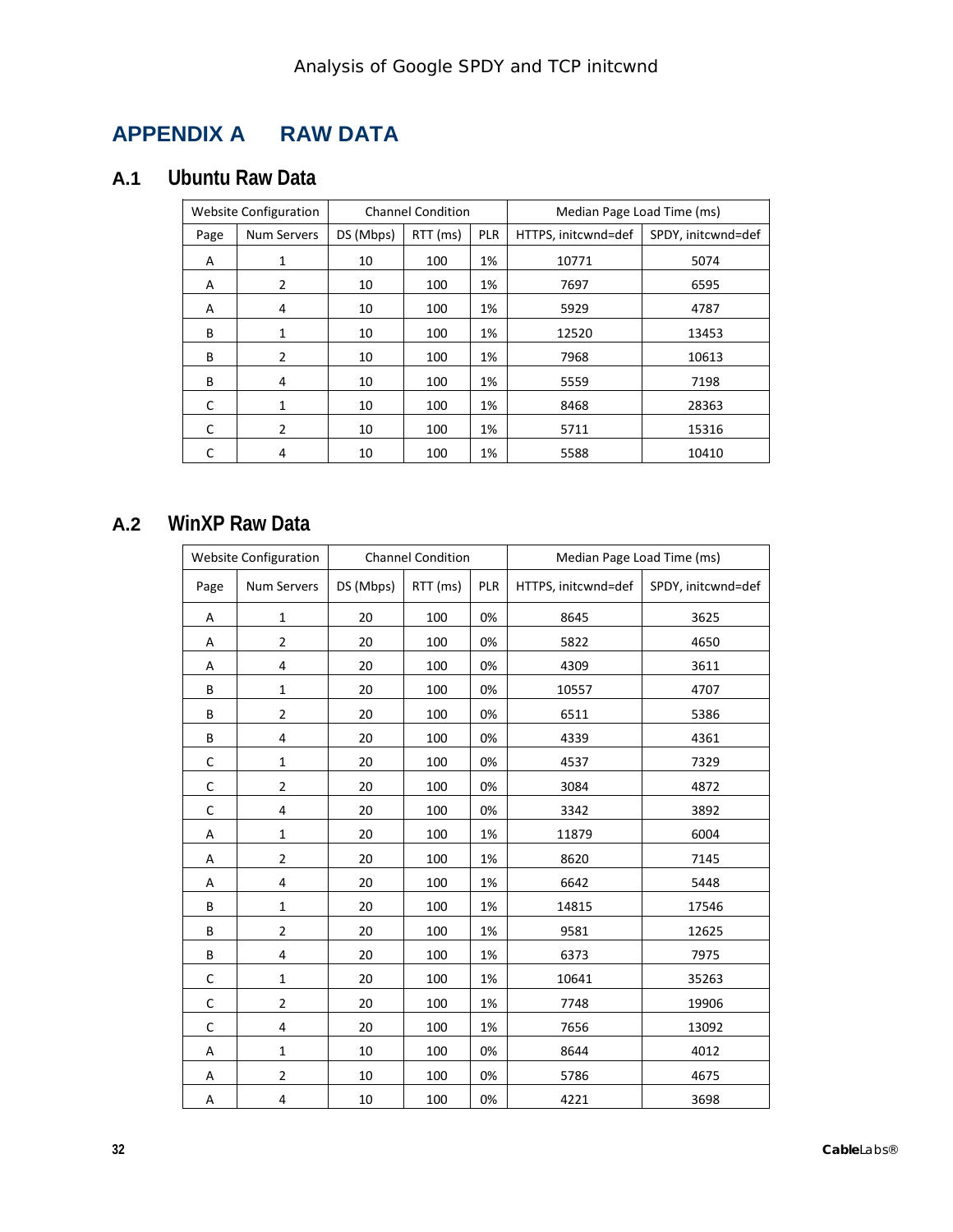# **APPENDIX A RAW DATA**

# **A.1 Ubuntu Raw Data**

| <b>Website Configuration</b> |                    |           | <b>Channel Condition</b> |            | Median Page Load Time (ms) |                    |  |  |
|------------------------------|--------------------|-----------|--------------------------|------------|----------------------------|--------------------|--|--|
| Page                         | <b>Num Servers</b> | DS (Mbps) | RTT (ms)                 | <b>PLR</b> | HTTPS, initcwnd=def        | SPDY, initcwnd=def |  |  |
| A                            | 1                  | 10        | 100                      | 1%         | 10771                      | 5074               |  |  |
| A                            | $\overline{2}$     | 10        | 100                      | 1%         | 7697                       | 6595               |  |  |
| A                            | 4                  | 10        | 100                      | 1%         | 5929                       | 4787               |  |  |
| B                            | 1                  | 10        | 100                      | 1%         | 12520                      | 13453              |  |  |
| B                            | $\overline{2}$     | 10        | 100                      | 1%         | 7968                       | 10613              |  |  |
| B                            | 4                  | 10        | 100                      | 1%         | 5559                       | 7198               |  |  |
| C                            | $\mathbf{1}$       | 10        | 100                      | 1%         | 8468                       | 28363              |  |  |
| C                            | 2                  | 10        | 100                      | 1%         | 5711                       | 15316              |  |  |
|                              | 4                  | 10        | 100                      | 1%         | 5588                       | 10410              |  |  |

## **A.2 WinXP Raw Data**

| <b>Website Configuration</b> |                         |           | <b>Channel Condition</b> |            | Median Page Load Time (ms) |                    |  |  |
|------------------------------|-------------------------|-----------|--------------------------|------------|----------------------------|--------------------|--|--|
| Page                         | <b>Num Servers</b>      | DS (Mbps) | RTT (ms)                 | <b>PLR</b> | HTTPS, initcwnd=def        | SPDY, initcwnd=def |  |  |
| А                            | $\mathbf{1}$            | 20        | 100                      | 0%         | 8645                       | 3625               |  |  |
| Α                            | $\overline{\mathbf{c}}$ | 20        | 100                      | 0%         | 5822                       | 4650               |  |  |
| А                            | 4                       | 20        | 100                      | 0%         | 4309                       | 3611               |  |  |
| B                            | $\mathbf{1}$            | 20        | 100                      | 0%         | 10557                      | 4707               |  |  |
| B                            | $\overline{2}$          | 20        | 100                      | 0%         | 6511                       | 5386               |  |  |
| B                            | 4                       | 20        | 100                      | 0%         | 4339                       | 4361               |  |  |
| C                            | $\mathbf 1$             | 20        | 100                      | 0%         | 4537                       | 7329               |  |  |
| $\mathsf C$                  | $\overline{\mathbf{c}}$ | 20        | 100                      | 0%         | 3084                       | 4872               |  |  |
| C                            | 4                       | 20        | 100                      | 0%         | 3342                       | 3892               |  |  |
| Α                            | $\mathbf{1}$            | 20        | 100                      | 1%         | 11879                      | 6004               |  |  |
| Α                            | $\overline{2}$          | 20        | 100                      | 1%         | 8620                       | 7145               |  |  |
| Α                            | 4                       | 20        | 100                      | 1%         | 6642                       | 5448               |  |  |
| B                            | $\mathbf 1$             | 20        | 100                      | 1%         | 14815                      | 17546              |  |  |
| B                            | $\overline{2}$          | 20        | 100                      | 1%         | 9581                       | 12625              |  |  |
| B                            | 4                       | 20        | 100                      | 1%         | 6373                       | 7975               |  |  |
| С                            | $\mathbf{1}$            | 20        | 100                      | 1%         | 10641                      | 35263              |  |  |
| $\mathsf C$                  | $\overline{2}$          | 20        | 100                      | 1%         | 7748                       | 19906              |  |  |
| $\mathsf C$                  | 4                       | 20        | 100                      | 1%         | 7656                       | 13092              |  |  |
| Α                            | $\mathbf{1}$            | 10        | 100                      | 0%         | 8644                       | 4012               |  |  |
| Α                            | $\overline{2}$          | 10        | 100                      | 0%         | 5786                       | 4675               |  |  |
| Α                            | 4                       | 10        | 100                      | 0%         | 4221                       | 3698               |  |  |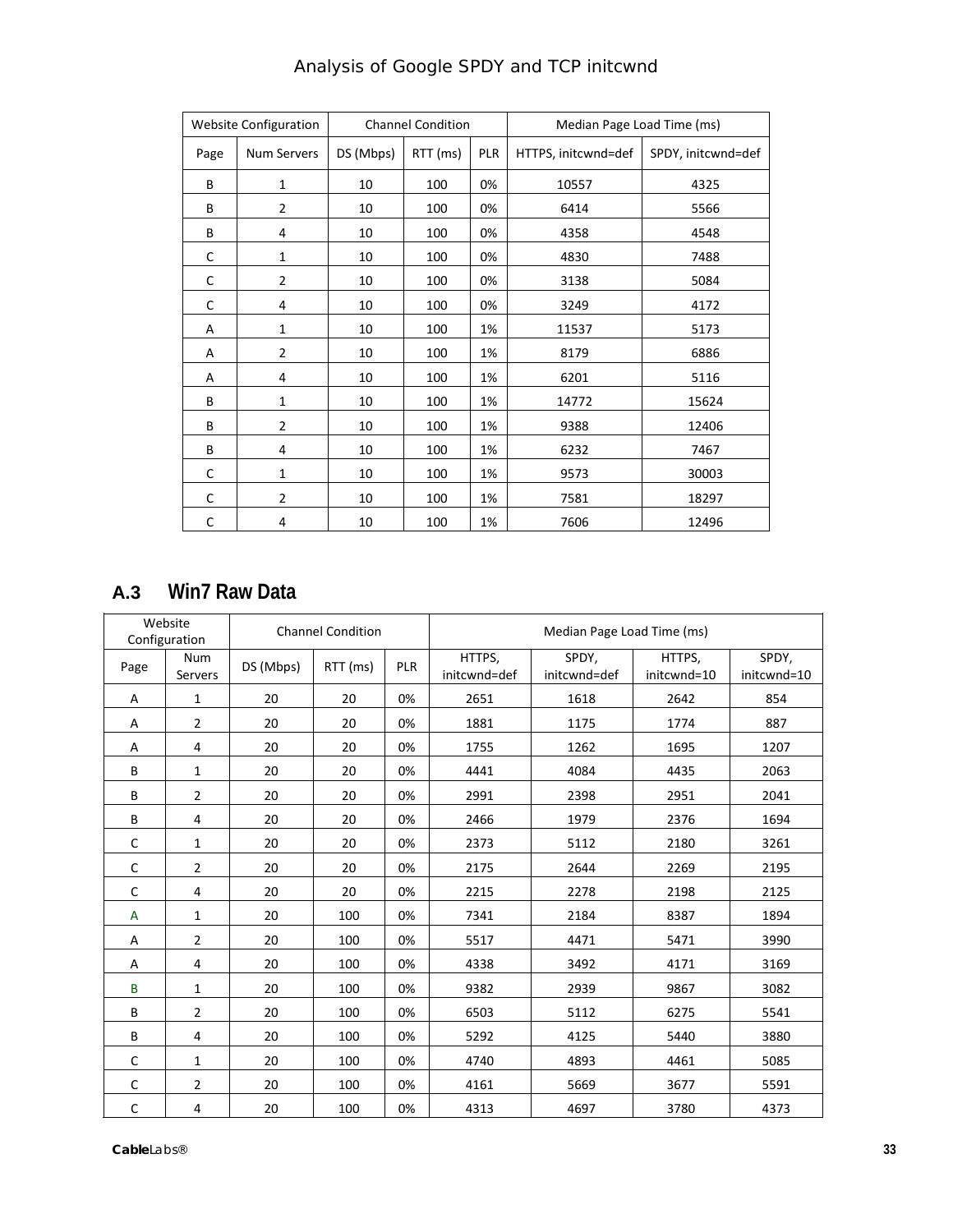|      | <b>Website Configuration</b> |           | <b>Channel Condition</b> |            | Median Page Load Time (ms) |                    |
|------|------------------------------|-----------|--------------------------|------------|----------------------------|--------------------|
| Page | <b>Num Servers</b>           | DS (Mbps) | RTT (ms)                 | <b>PLR</b> | HTTPS, initcwnd=def        | SPDY, initcwnd=def |
| B    | $\mathbf{1}$                 | 10        | 100                      | 0%         | 10557                      | 4325               |
| B    | 2                            | 10        | 100                      | 0%         | 6414                       | 5566               |
| B    | 4                            | 10        | 100                      | 0%         | 4358                       | 4548               |
| C    | 1                            | 10        | 100                      | 0%         | 4830                       | 7488               |
| C    | $\overline{2}$               | 10        | 100                      | 0%         | 3138                       | 5084               |
| C    | 4                            | 10        | 100                      | 0%         | 3249                       | 4172               |
| Α    | $\mathbf{1}$                 | 10        | 100                      | 1%         | 11537                      | 5173               |
| Α    | $\overline{2}$               | 10        | 100                      | 1%         | 8179                       | 6886               |
| A    | 4                            | 10        | 100                      | 1%         | 6201                       | 5116               |
| B    | 1                            | 10        | 100                      | 1%         | 14772                      | 15624              |
| B    | 2                            | 10        | 100                      | 1%         | 9388                       | 12406              |
| B    | 4                            | 10        | 100                      | 1%         | 6232                       | 7467               |
| C    | 1                            | 10        | 100                      | 1%         | 9573                       | 30003              |
| C    | $\overline{2}$               | 10        | 100                      | 1%         | 7581                       | 18297              |
| С    | 4                            | 10        | 100                      | 1%         | 7606                       | 12496              |

# <span id="page-32-0"></span>**A.3 Win7 Raw Data**

|      | Website<br>Configuration |           | <b>Channel Condition</b> |            |                        | Median Page Load Time (ms) |                       |                      |
|------|--------------------------|-----------|--------------------------|------------|------------------------|----------------------------|-----------------------|----------------------|
| Page | <b>Num</b><br>Servers    | DS (Mbps) | RTT (ms)                 | <b>PLR</b> | HTTPS,<br>initcwnd=def | SPDY,<br>initcwnd=def      | HTTPS,<br>initcwnd=10 | SPDY,<br>initcwnd=10 |
| Α    | 1                        | 20        | 20                       | 0%         | 2651                   | 1618                       | 2642                  | 854                  |
| Α    | $\overline{2}$           | 20        | 20                       | 0%         | 1881                   | 1175                       | 1774                  | 887                  |
| Α    | 4                        | 20        | 20                       | 0%         | 1755                   | 1262                       | 1695                  | 1207                 |
| B    | 1                        | 20        | 20                       | 0%         | 4441                   | 4084                       | 4435                  | 2063                 |
| B    | $\overline{2}$           | 20        | 20                       | 0%         | 2991                   | 2398                       | 2951                  | 2041                 |
| B    | 4                        | 20        | 20                       | 0%         | 2466                   | 1979                       | 2376                  | 1694                 |
| C    | $\mathbf{1}$             | 20        | 20                       | 0%         | 2373                   | 5112                       | 2180                  | 3261                 |
| C    | $\overline{2}$           | 20        | 20                       | 0%         | 2175                   | 2644                       | 2269                  | 2195                 |
| C    | 4                        | 20        | 20                       | 0%         | 2215                   | 2278                       | 2198                  | 2125                 |
| A    | 1                        | 20        | 100                      | 0%         | 7341                   | 2184                       | 8387                  | 1894                 |
| Α    | $\overline{2}$           | 20        | 100                      | 0%         | 5517                   | 4471                       | 5471                  | 3990                 |
| Α    | 4                        | 20        | 100                      | 0%         | 4338                   | 3492                       | 4171                  | 3169                 |
| B    | 1                        | 20        | 100                      | 0%         | 9382                   | 2939                       | 9867                  | 3082                 |
| B    | 2                        | 20        | 100                      | 0%         | 6503                   | 5112                       | 6275                  | 5541                 |
| B    | 4                        | 20        | 100                      | 0%         | 5292                   | 4125                       | 5440                  | 3880                 |
| C    | $\mathbf{1}$             | 20        | 100                      | 0%         | 4740                   | 4893                       | 4461                  | 5085                 |
| C    | 2                        | 20        | 100                      | 0%         | 4161                   | 5669                       | 3677                  | 5591                 |
| C    | 4                        | 20        | 100                      | 0%         | 4313                   | 4697                       | 3780                  | 4373                 |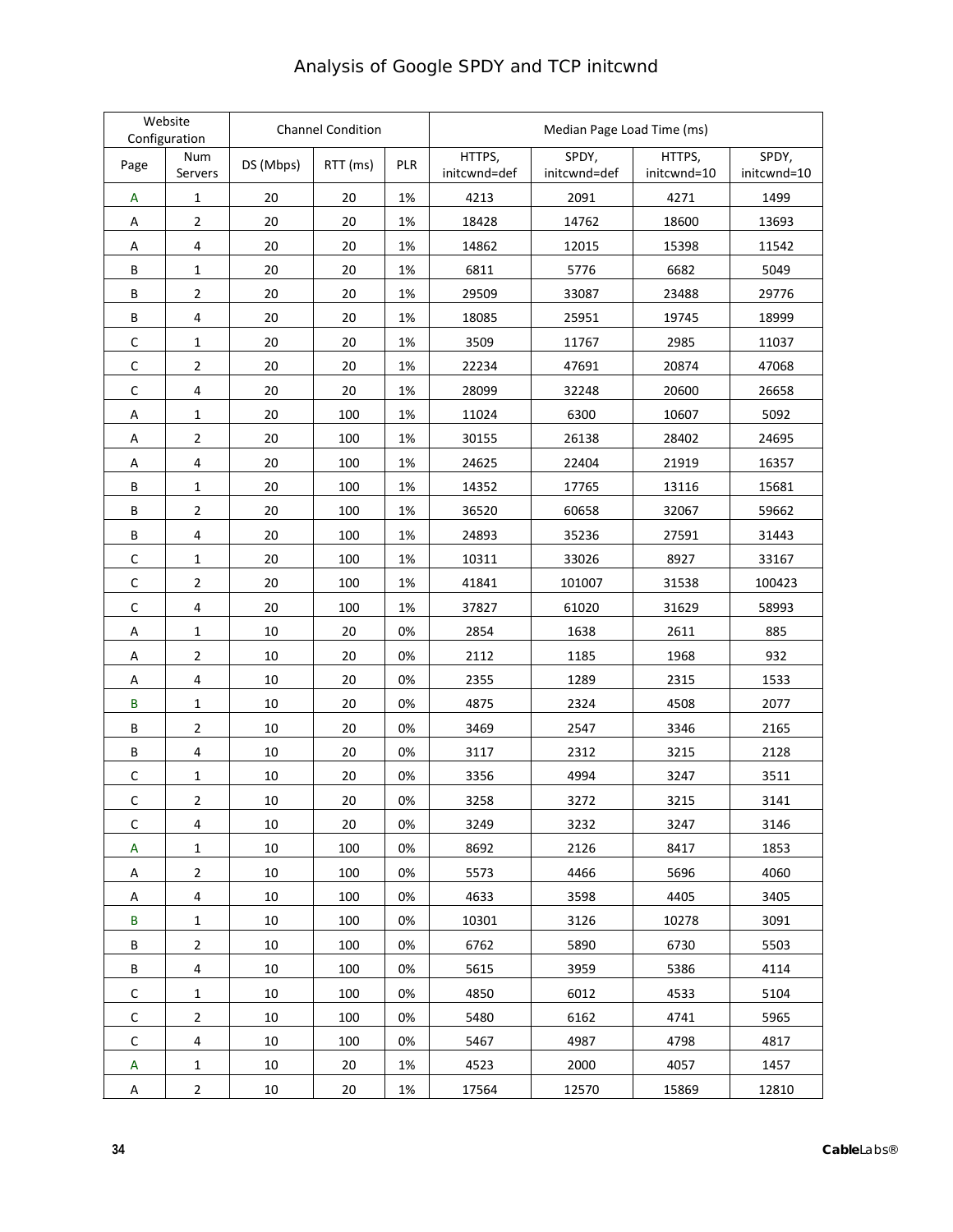#### **Website** website<br>
Configuration Condition Condition Median Page Load Time (ms) Page Num<br>Servers Num DS (Mbps) RTT (ms) PLR HTTPS, initcwnd=def SPDY, initcwnd=def HTTPS, initcwnd=10 SPDY, initcwnd=10 A 1 20 20 1% 4213 2091 4271 1499 A | 2 | 20 | 20 | 1% | 18428 | 14762 | 18600 | 13693 A | 4 | 20 | 20 | 1% | 14862 | 12015 | 15398 | 11542 B | 1 | 20 | 20 | 1% | 6811 | 5776 | 6682 | 5049 B 2 20 20 1% 29509 33087 23488 29776 B | 4 | 20 | 20 | 1% | 18085 | 25951 | 19745 | 18999 C 1 20 20 1% 3509 11767 2985 11037 C | 2 | 20 | 20 | 1% | 22234 | 47691 | 20874 | 47068 C | 4 | 20 | 20 | 1% | 28099 | 32248 | 20600 | 26658 A | 1 | 20 | 100 | 1% | 11024 | 6300 | 10607 | 5092 A | 2 | 20 | 100 | 1% | 30155 | 26138 | 28402 | 24695 A 4 20 100 1% 24625 22404 21919 16357 B | 1 | 20 | 100 | 1% | 14352 | 17765 | 13116 | 15681 B 2 20 100 1% 36520 60658 32067 59662 B | 4 | 20 | 100 | 1% | 24893 | 35236 | 27591 | 31443 C | 1 | 20 | 100 | 1% | 10311 | 33026 | 8927 | 33167 C 2 20 100 1% 41841 101007 31538 100423 C 4 20 100 1% 37827 61020 31629 58993 A | 1 | 10 | 20 |0% | 2854 | 1638 | 2611 | 885 A | 2 | 10 | 20 |0% | 2112 | 1185 | 1968 | 932 A | 4 | 10 | 20 |0% | 2355 | 1289 | 2315 | 1533 B | 1 | 10 | 20 | 0% | 4875 | 2324 | 4508 | 2077 B 2 10 20 0% 3469 2547 3346 2165 B | 4 | 10 | 20 | 0% | 3117 | 2312 | 3215 | 2128 C 1 10 20 0% 3356 4994 3247 3511 C 2 10 20 0% 3258 3272 3215 3141 C 4 10 20 0% 3249 3232 3247 3146 A | 1 | 10 | 100 | 0% | 8692 | 2126 | 8417 | 1853 A | 2 | 10 | 100 | 0% | 5573 | 4466 | 5696 | 4060 A | 4 | 10 | 100 |0% | 4633 | 3598 | 4405 | 3405 B | 1 | 10 | 100 | 0% | 10301 | 3126 | 10278 | 3091 B 2 10 100 0% 6762 5890 6730 5503 B | 4 | 10 | 100 | 0% | 5615 | 3959 | 5386 | 4114 C 1 10 100 0% 4850 6012 4533 5104 C 2 10 100 0% 5480 6162 4741 5965 C 4 10 100 0% 5467 4987 4798 4817 A | 1 | 10 | 20 | 1% | 4523 | 2000 | 4057 | 1457 A | 2 | 10 | 20 | 1% | 17564 | 12570 | 15869 | 12810

#### Analysis of Google SPDY and TCP initcwnd